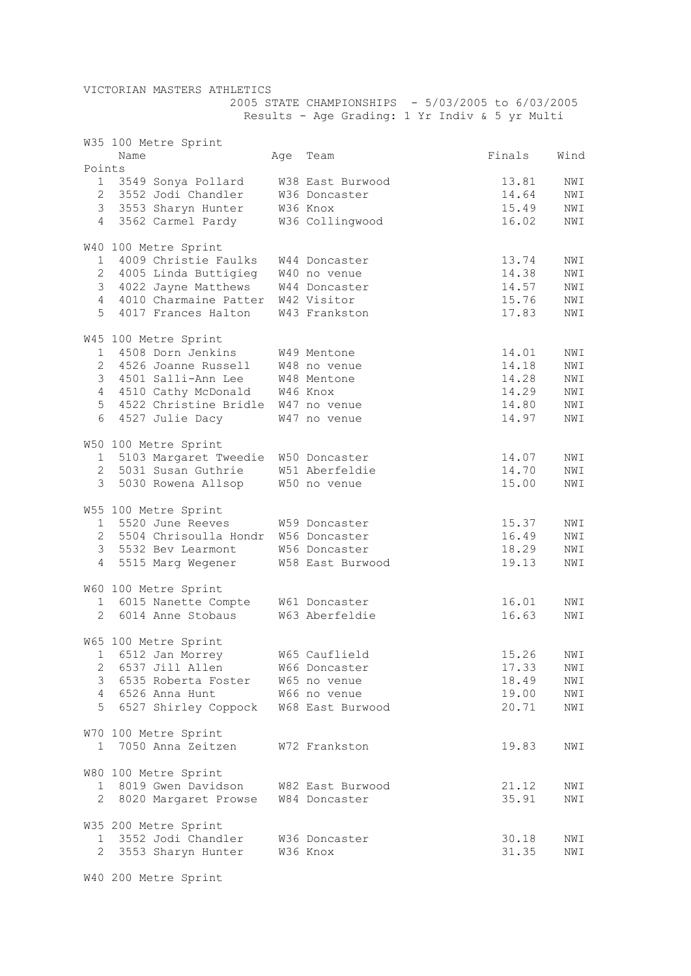VICTORIAN MASTERS ATHLETICS

 2005 STATE CHAMPIONSHIPS - 5/03/2005 to 6/03/2005 Results - Age Grading: 1 Yr Indiv & 5 yr Multi

|                | Name | W35 100 Metre Sprint                  | Age Team         | Finals         | Wind |
|----------------|------|---------------------------------------|------------------|----------------|------|
| Points         |      |                                       |                  |                |      |
|                |      | 1 3549 Sonya Pollard                  | W38 East Burwood | 13.81          | NWI  |
|                |      | 2 3552 Jodi Chandler                  | W36 Doncaster    | 14.64          | NWI  |
|                |      | 3 3553 Sharyn Hunter                  | W36 Knox         |                | NWI  |
| 4              |      | 3562 Carmel Pardy                     | W36 Collingwood  | 15.49<br>16.02 | NWI  |
|                |      |                                       |                  |                |      |
|                |      |                                       |                  |                |      |
|                |      | W40 100 Metre Sprint                  |                  |                |      |
| $1 \quad$      |      | 4009 Christie Faulks W44 Doncaster    |                  | 13.74          | NWI  |
|                |      | 2 4005 Linda Buttigieg W40 no venue   |                  | 14.38          | NWI  |
|                |      | 3 4022 Jayne Matthews W44 Doncaster   |                  | 14.57          | NWI  |
|                |      | 4 4010 Charmaine Patter W42 Visitor   |                  | 15.76          | NWI  |
| 5              |      | 4017 Frances Halton                   | W43 Frankston    | 17.83          | NWI  |
|                |      |                                       |                  |                |      |
|                |      |                                       |                  |                |      |
|                |      | W45 100 Metre Sprint                  |                  |                |      |
|                |      | 1 4508 Dorn Jenkins                   | W49 Mentone      | 14.01          | NWI  |
|                |      | 2 4526 Joanne Russell W48 no venue    |                  | 14.18          | NWI  |
|                |      | 3 4501 Salli-Ann Lee                  | W48 Mentone      | 14.28          | NWI  |
|                |      | 4 4510 Cathy McDonald W46 Knox        |                  | 14.29          | NWI  |
| 5 <sup>1</sup> |      | 4522 Christine Bridle W47 no venue    |                  | 14.80          | NWI  |
| 6              |      | 4527 Julie Dacy                       | W47 no venue     | 14.97          | NWI  |
|                |      |                                       |                  |                |      |
|                |      | W50 100 Metre Sprint                  |                  |                |      |
|                |      | 1 5103 Margaret Tweedie W50 Doncaster |                  | 14.07          | NWI  |
|                |      |                                       |                  |                |      |
|                |      | 2 5031 Susan Guthrie W51 Aberfeldie   |                  | 14.70          | NWI  |
| 3              |      | 5030 Rowena Allsop W50 no venue       |                  | 15.00          | NWI  |
|                |      |                                       |                  |                |      |
|                |      | W55 100 Metre Sprint                  |                  |                |      |
|                |      | 1 5520 June Reeves                    | W59 Doncaster    | 15.37          | NWI  |
|                |      | 2 5504 Chrisoulla Hondr W56 Doncaster |                  | 16.49          | NWI  |
|                |      | 3 5532 Bev Learmont                   | W56 Doncaster    | 18.29          | NWI  |
| $\overline{4}$ |      | 5515 Marg Wegener                     | W58 East Burwood | 19.13          | NWI  |
|                |      |                                       |                  |                |      |
|                |      |                                       |                  |                |      |
|                |      | W60 100 Metre Sprint                  |                  |                |      |
|                |      | 1 6015 Nanette Compte W61 Doncaster   |                  | 16.01          | NWI  |
|                |      | 2 6014 Anne Stobaus                   | W63 Aberfeldie   | 16.63          | NWI  |
|                |      |                                       |                  |                |      |
|                |      | W65 100 Metre Sprint                  |                  |                |      |
| T.             |      | 6512 Jan Morrey                       | W65 Cauflield    | 15.26          | NWI  |
| 2              |      | 6537 Jill Allen                       | W66 Doncaster    | 17.33          | NWI  |
| 3              |      | 6535 Roberta Foster W65 no venue      |                  | 18.49          | NWI  |
| 4              |      | 6526 Anna Hunt                        | W66 no venue     | 19.00          | NWI  |
| 5              |      | 6527 Shirley Coppock W68 East Burwood |                  | 20.71          |      |
|                |      |                                       |                  |                | NWI  |
|                |      |                                       |                  |                |      |
|                |      | W70 100 Metre Sprint                  |                  |                |      |
| $\mathbf{1}$   |      | 7050 Anna Zeitzen                     | W72 Frankston    | 19.83          | NWI  |
|                |      |                                       |                  |                |      |
|                |      | W80 100 Metre Sprint                  |                  |                |      |
|                |      | 1 8019 Gwen Davidson                  | W82 East Burwood | 21.12          | NWI  |
| $\overline{2}$ |      | 8020 Margaret Prowse                  | W84 Doncaster    | 35.91          | NWI  |
|                |      |                                       |                  |                |      |
|                |      | W35 200 Metre Sprint                  |                  |                |      |
|                |      | 1 3552 Jodi Chandler                  |                  |                |      |
|                |      |                                       | W36 Doncaster    | 30.18          | NWI  |
|                |      | 2 3553 Sharyn Hunter                  | W36 Knox         | 31.35          | NWI  |

W40 200 Metre Sprint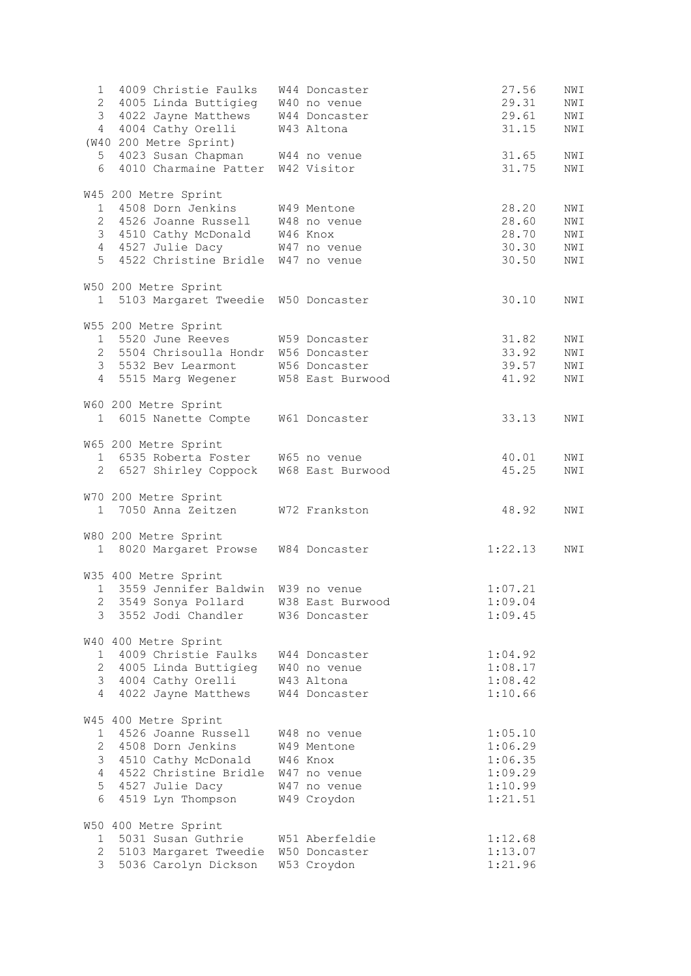| 1     | 4009 Christie Faulks W44 Doncaster      |                | 27.56   | NWI |
|-------|-----------------------------------------|----------------|---------|-----|
|       | 2 4005 Linda Buttigieg W40 no venue     |                | 29.31   | NWI |
|       | 3 4022 Jayne Matthews W44 Doncaster     |                | 29.61   | NWI |
| 4     | 4004 Cathy Orelli                       | W43 Altona     | 31.15   | NWI |
|       | (W40 200 Metre Sprint)                  |                |         |     |
| $5 -$ | 4023 Susan Chapman W44 no venue         |                | 31.65   | NWI |
| 6     | 4010 Charmaine Patter W42 Visitor       |                | 31.75   | NWI |
|       |                                         |                |         |     |
|       | W45 200 Metre Sprint                    |                |         |     |
|       | 1 4508 Dorn Jenkins                     | W49 Mentone    | 28.20   | NWI |
|       | 2 4526 Joanne Russell M48 no venue      |                | 28.60   | NWI |
|       | 3 4510 Cathy McDonald W46 Knox          |                | 28.70   | NWI |
|       | 4 4527 Julie Dacy W47 no venue          |                | 30.30   | NWI |
|       | 5 4522 Christine Bridle W47 no venue    |                | 30.50   | NWI |
|       |                                         |                |         |     |
|       | W50 200 Metre Sprint                    |                |         |     |
|       | 1 5103 Margaret Tweedie W50 Doncaster   |                | 30.10   | NWI |
|       |                                         |                |         |     |
|       | W55 200 Metre Sprint                    |                |         |     |
|       | 1 5520 June Reeves W59 Doncaster        |                | 31.82   | NWI |
|       | 2 5504 Chrisoulla Hondr W56 Doncaster   |                | 33.92   | NWI |
|       | 3 5532 Bev Learmont W56 Doncaster       |                | 39.57   | NWI |
|       | 4 5515 Marg Wegener W58 East Burwood    |                | 41.92   | NWI |
|       |                                         |                |         |     |
|       | W60 200 Metre Sprint                    |                |         |     |
|       | 1 6015 Nanette Compte W61 Doncaster     |                | 33.13   | NWI |
|       |                                         |                |         |     |
|       | W65 200 Metre Sprint                    |                |         |     |
|       | 1 6535 Roberta Foster W65 no venue      |                | 40.01   | NWI |
|       | 2 6527 Shirley Coppock W68 East Burwood |                | 45.25   | NWI |
|       |                                         |                |         |     |
|       | W70 200 Metre Sprint                    |                |         |     |
|       | 1 7050 Anna Zeitzen W72 Frankston       |                | 48.92   | NWI |
|       |                                         |                |         |     |
|       | W80 200 Metre Sprint                    |                |         |     |
|       | 1 8020 Margaret Prowse W84 Doncaster    |                | 1:22.13 | NWI |
|       |                                         |                |         |     |
|       | W35 400 Metre Sprint                    |                |         |     |
|       | 1 3559 Jennifer Baldwin W39 no venue    |                | 1:07.21 |     |
|       | 2 3549 Sonya Pollard M38 East Burwood   |                | 1:09.04 |     |
|       | 3 3552 Jodi Chandler                    | W36 Doncaster  | 1:09.45 |     |
|       |                                         |                |         |     |
|       | W40 400 Metre Sprint                    |                |         |     |
|       | 1 4009 Christie Faulks                  | W44 Doncaster  | 1:04.92 |     |
|       | 2 4005 Linda Buttigieg W40 no venue     |                | 1:08.17 |     |
|       | 3 4004 Cathy Orelli W43 Altona          |                | 1:08.42 |     |
| 4     | 4022 Jayne Matthews W44 Doncaster       |                | 1:10.66 |     |
|       |                                         |                |         |     |
|       | W45 400 Metre Sprint                    |                |         |     |
|       | 1 4526 Joanne Russell                   | W48 no venue   | 1:05.10 |     |
|       | 2 4508 Dorn Jenkins                     | W49 Mentone    | 1:06.29 |     |
|       | 3 4510 Cathy McDonald W46 Knox          |                | 1:06.35 |     |
|       | 4 4522 Christine Bridle W47 no venue    |                | 1:09.29 |     |
|       | 5 4527 Julie Dacy                       | W47 no venue   | 1:10.99 |     |
| 6     | 4519 Lyn Thompson                       | W49 Croydon    | 1:21.51 |     |
|       |                                         |                |         |     |
|       | W50 400 Metre Sprint                    |                |         |     |
|       | 1 5031 Susan Guthrie                    | W51 Aberfeldie | 1:12.68 |     |
|       | 2 5103 Margaret Tweedie W50 Doncaster   |                | 1:13.07 |     |
| 3     | 5036 Carolyn Dickson                    | W53 Croydon    | 1:21.96 |     |
|       |                                         |                |         |     |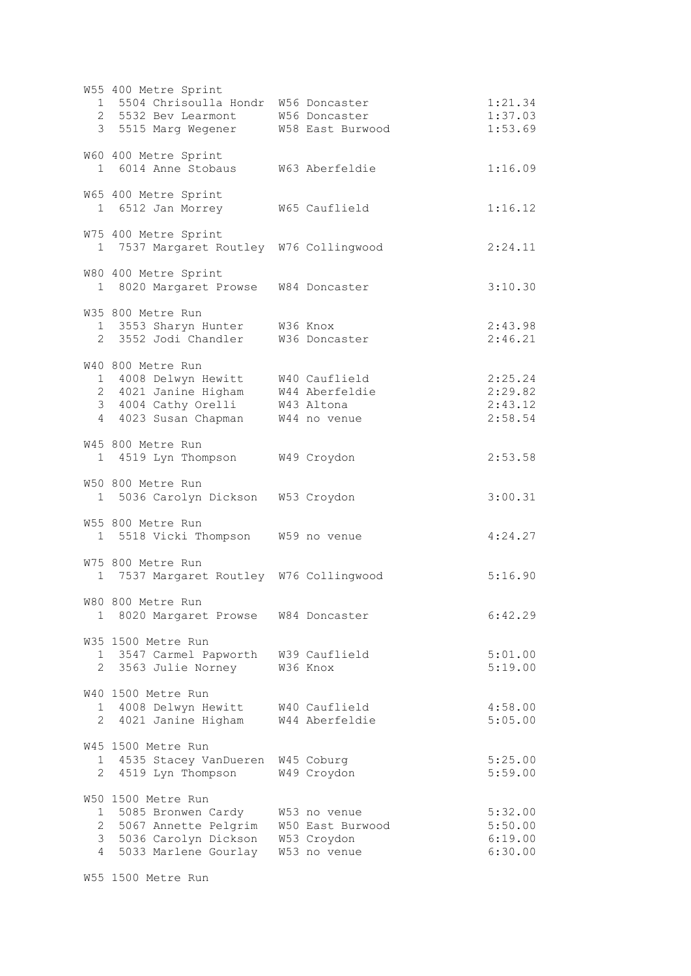|                               | W55 400 Metre Sprint<br>1 5504 Chrisoulla Hondr W56 Doncaster<br>2 5532 Bev Learmont<br>3 5515 Marg Wegener                                                           | W56 Doncaster<br>W58 East Burwood                               | 1:21.34<br>1:37.03<br>1:53.69            |
|-------------------------------|-----------------------------------------------------------------------------------------------------------------------------------------------------------------------|-----------------------------------------------------------------|------------------------------------------|
|                               | W60 400 Metre Sprint<br>1 6014 Anne Stobaus W63 Aberfeldie                                                                                                            |                                                                 | 1:16.09                                  |
|                               | W65 400 Metre Sprint<br>1 6512 Jan Morrey                                                                                                                             | W65 Cauflield                                                   | 1:16.12                                  |
|                               | W75 400 Metre Sprint<br>1 7537 Margaret Routley W76 Collingwood                                                                                                       |                                                                 | 2:24.11                                  |
|                               | W80 400 Metre Sprint<br>1 8020 Margaret Prowse W84 Doncaster                                                                                                          |                                                                 | 3:10.30                                  |
|                               | W35 800 Metre Run<br>1 3553 Sharyn Hunter W36 Knox<br>2 3552 Jodi Chandler W36 Doncaster                                                                              |                                                                 | 2:43.98<br>2:46.21                       |
|                               | W40 800 Metre Run<br>1 4008 Delwyn Hewitt W40 Cauflield<br>2 4021 Janine Higham W44 Aberfeldie<br>3 4004 Cathy Orelli W43 Altona<br>4 4023 Susan Chapman W44 no venue |                                                                 | 2:25.24<br>2:29.82<br>2:43.12<br>2:58.54 |
|                               | W45 800 Metre Run<br>1 4519 Lyn Thompson W49 Croydon                                                                                                                  |                                                                 | 2:53.58                                  |
|                               | W50 800 Metre Run<br>1 5036 Carolyn Dickson W53 Croydon                                                                                                               |                                                                 | 3:00.31                                  |
|                               | W55 800 Metre Run<br>1 5518 Vicki Thompson W59 no venue                                                                                                               |                                                                 | 4:24.27                                  |
|                               | W75 800 Metre Run<br>1 7537 Margaret Routley W76 Collingwood                                                                                                          |                                                                 | 5:16.90                                  |
|                               | W80 800 Metre Run<br>1 8020 Margaret Prowse                                                                                                                           | W84 Doncaster                                                   | 6:42.29                                  |
| 2                             | W35 1500 Metre Run<br>1 3547 Carmel Papworth<br>3563 Julie Norney                                                                                                     | W39 Cauflield<br>W36 Knox                                       | 5:01.00<br>5:19.00                       |
| 2                             | W40 1500 Metre Run<br>1 4008 Delwyn Hewitt<br>4021 Janine Higham                                                                                                      | W40 Cauflield<br>W44 Aberfeldie                                 | 4:58.00<br>5:05.00                       |
| 2                             | W45 1500 Metre Run<br>1 4535 Stacey VanDueren<br>4519 Lyn Thompson                                                                                                    | W45 Coburg<br>W49 Croydon                                       | 5:25.00<br>5:59.00                       |
| 1<br>2<br>3<br>$\overline{4}$ | W50 1500 Metre Run<br>5085 Bronwen Cardy<br>5067 Annette Pelgrim<br>5036 Carolyn Dickson<br>5033 Marlene Gourlay                                                      | W53 no venue<br>W50 East Burwood<br>W53 Croydon<br>W53 no venue | 5:32.00<br>5:50.00<br>6:19.00<br>6:30.00 |

W55 1500 Metre Run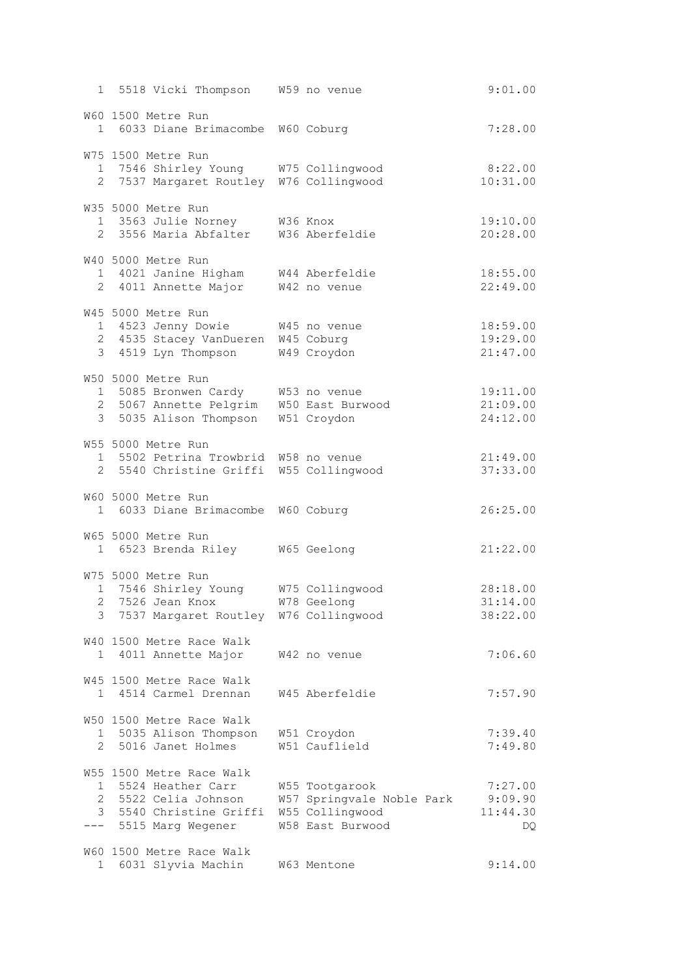|                | 1 5518 Vicki Thompson W59 no venue                                                                                           |                                                                                    | 9:01.00                              |
|----------------|------------------------------------------------------------------------------------------------------------------------------|------------------------------------------------------------------------------------|--------------------------------------|
|                | W60 1500 Metre Run<br>1 6033 Diane Brimacombe W60 Coburg                                                                     |                                                                                    | 7:28.00                              |
|                | W75 1500 Metre Run<br>1 7546 Shirley Young W75 Collingwood<br>2 7537 Margaret Routley W76 Collingwood                        |                                                                                    | 8:22.00<br>10:31.00                  |
|                | W35 5000 Metre Run<br>1 3563 Julie Norney M36 Knox<br>2 3556 Maria Abfalter W36 Aberfeldie                                   |                                                                                    | 19:10.00<br>20:28.00                 |
|                | W40 5000 Metre Run<br>1 4021 Janine Higham W44 Aberfeldie<br>2 4011 Annette Major W42 no venue                               |                                                                                    | 18:55.00<br>22:49.00                 |
|                | W45 5000 Metre Run<br>1 4523 Jenny Dowie<br>2 4535 Stacey VanDueren W45 Coburg<br>3 4519 Lyn Thompson W49 Croydon            | W45 no venue                                                                       | 18:59.00<br>19:29.00<br>21:47.00     |
|                | W50 5000 Metre Run<br>1 5085 Bronwen Cardy W53 no venue<br>2 5067 Annette Pelgrim W50 East Burwood<br>3 5035 Alison Thompson | W51 Croydon                                                                        | 19:11.00<br>21:09.00<br>24:12.00     |
|                | W55 5000 Metre Run<br>1 5502 Petrina Trowbrid W58 no venue<br>2 5540 Christine Griffi W55 Collingwood                        |                                                                                    | 21:49.00<br>37:33.00                 |
|                | W60 5000 Metre Run<br>1 6033 Diane Brimacombe W60 Coburg                                                                     |                                                                                    | 26:25.00                             |
|                | W65 5000 Metre Run<br>1 6523 Brenda Riley W65 Geelong                                                                        |                                                                                    | 21:22.00                             |
| 3              | W75 5000 Metre Run<br>1 7546 Shirley Young W75 Collingwood<br>2 7526 Jean Knox<br>7537 Margaret Routley W76 Collingwood      | W78 Geelong                                                                        | 28:18.00<br>31:14.00<br>38:22.00     |
|                | W40 1500 Metre Race Walk<br>1 4011 Annette Major                                                                             | W42 no venue                                                                       | 7:06.60                              |
|                | W45 1500 Metre Race Walk<br>1 4514 Carmel Drennan                                                                            | W45 Aberfeldie                                                                     | 7:57.90                              |
| $1 \quad$<br>2 | W50 1500 Metre Race Walk<br>5035 Alison Thompson<br>5016 Janet Holmes                                                        | W51 Croydon<br>W51 Cauflield                                                       | 7:39.40<br>7:49.80                   |
| $1 -$<br>$---$ | W55 1500 Metre Race Walk<br>5524 Heather Carr<br>2 5522 Celia Johnson<br>3 5540 Christine Griffi<br>5515 Marg Wegener        | W55 Tootgarook<br>W57 Springvale Noble Park<br>W55 Collingwood<br>W58 East Burwood | 7:27.00<br>9:09.90<br>11:44.30<br>DQ |
|                | W60 1500 Metre Race Walk<br>1 6031 Slyvia Machin                                                                             | W63 Mentone                                                                        | 9:14.00                              |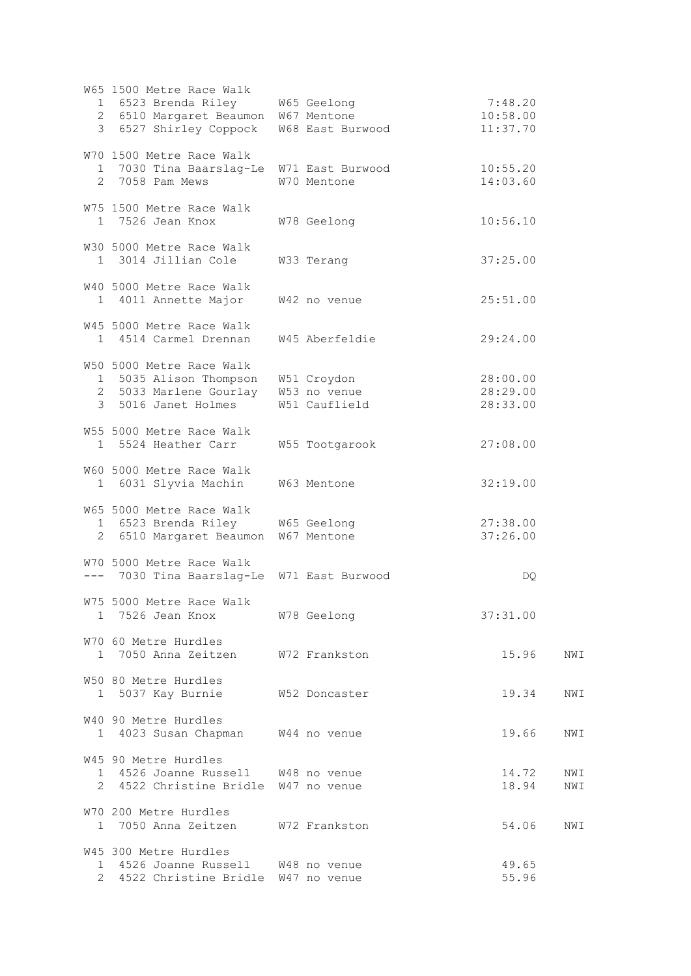|              | W65 1500 Metre Race Walk<br>1 6523 Brenda Riley W65 Geelong<br>2 6510 Margaret Beaumon W67 Mentone                                         | 3 6527 Shirley Coppock W68 East Burwood | 7:48.20<br>10:58.00<br>11:37.70  |
|--------------|--------------------------------------------------------------------------------------------------------------------------------------------|-----------------------------------------|----------------------------------|
|              | W70 1500 Metre Race Walk<br>1 7030 Tina Baarslag-Le W71 East Burwood<br>2 7058 Pam Mews                                                    | W70 Mentone                             | 10:55.20<br>14:03.60             |
|              | W75 1500 Metre Race Walk<br>1 7526 Jean Knox                                                                                               | W78 Geelong                             | 10:56.10                         |
|              | W30 5000 Metre Race Walk<br>1 3014 Jillian Cole                                                                                            | W33 Terang                              | 37:25.00                         |
|              | W40 5000 Metre Race Walk<br>1 4011 Annette Major                                                                                           | W42 no venue                            | 25:51.00                         |
|              | W45 5000 Metre Race Walk<br>1 4514 Carmel Drennan                                                                                          | W45 Aberfeldie                          | 29:24.00                         |
|              | W50 5000 Metre Race Walk<br>1 5035 Alison Thompson W51 Croydon<br>2 5033 Marlene Gourlay W53 no venue<br>3 5016 Janet Holmes W51 Cauflield |                                         | 28:00.00<br>28:29.00<br>28:33.00 |
|              | W55 5000 Metre Race Walk<br>1 5524 Heather Carr                                                                                            | W55 Tootgarook                          | 27:08.00                         |
|              | W60 5000 Metre Race Walk<br>1 6031 Slyvia Machin W63 Mentone                                                                               |                                         | 32:19.00                         |
|              | W65 5000 Metre Race Walk<br>1 6523 Brenda Riley M65 Geelong<br>2 6510 Margaret Beaumon W67 Mentone                                         |                                         | 27:38.00<br>37:26.00             |
|              | W70 5000 Metre Race Walk<br>--- 7030 Tina Baarslag-Le W71 East Burwood                                                                     |                                         | DQ.                              |
|              | W75 5000 Metre Race Walk<br>1 7526 Jean Knox                                                                                               | W78 Geelong                             | 37:31.00                         |
|              | W70 60 Metre Hurdles<br>1 7050 Anna Zeitzen W72 Frankston                                                                                  |                                         | 15.96<br>NWI                     |
| 1            | W50 80 Metre Hurdles<br>5037 Kay Burnie                                                                                                    | W52 Doncaster                           | 19.34<br>NWI                     |
|              | W40 90 Metre Hurdles<br>1 4023 Susan Chapman W44 no venue                                                                                  |                                         | 19.66<br>NWI                     |
|              | W45 90 Metre Hurdles<br>1 4526 Joanne Russell W48 no venue<br>2 4522 Christine Bridle W47 no venue                                         |                                         | 14.72<br>NWI<br>18.94<br>NWI     |
|              | W70 200 Metre Hurdles<br>1 7050 Anna Zeitzen                                                                                               | W72 Frankston                           | 54.06<br>NWI                     |
| $\mathbf{1}$ | W45 300 Metre Hurdles<br>4526 Joanne Russell W48 no venue<br>4522 Christine Bridle W47 no venue                                            |                                         | 49.65<br>55.96                   |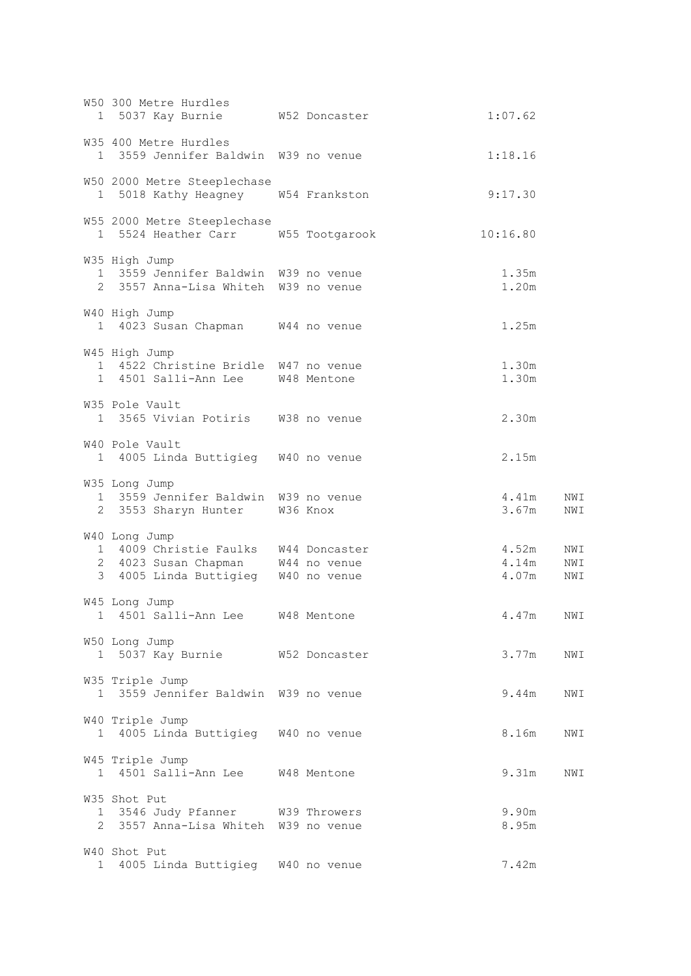|              | W50 300 Metre Hurdles<br>1 5037 Kay Burnie M52 Doncaster                                      |  | 1:07.62                 |                   |
|--------------|-----------------------------------------------------------------------------------------------|--|-------------------------|-------------------|
|              | W35 400 Metre Hurdles<br>1 3559 Jennifer Baldwin W39 no venue                                 |  | 1:18.16                 |                   |
|              | W50 2000 Metre Steeplechase<br>1 5018 Kathy Heagney W54 Frankston                             |  | 9:17.30                 |                   |
|              | W55 2000 Metre Steeplechase<br>1 5524 Heather Carr W55 Tootgarook                             |  | 10:16.80                |                   |
|              | W35 High Jump<br>1 3559 Jennifer Baldwin W39 no venue<br>2 3557 Anna-Lisa Whiteh W39 no venue |  | 1.35m<br>1.20m          |                   |
|              | W40 High Jump<br>1 4023 Susan Chapman W44 no venue                                            |  | 1.25m                   |                   |
|              | W45 High Jump<br>1 4522 Christine Bridle W47 no venue<br>1 4501 Salli-Ann Lee W48 Mentone     |  | 1.30m<br>1.30m          |                   |
|              | W35 Pole Vault<br>1 3565 Vivian Potiris W38 no venue                                          |  | 2.30m                   |                   |
|              | W40 Pole Vault<br>1 4005 Linda Buttigieg W40 no venue                                         |  | 2.15m                   |                   |
|              | W35 Long Jump<br>1 3559 Jennifer Baldwin W39 no venue<br>2 3553 Sharyn Hunter W36 Knox        |  | 4.41m<br>3.67m          | NWI<br>NWI        |
|              | W40 Long Jump<br>1 4009 Christie Faulks W44 Doncaster<br>2 4023 Susan Chapman W44 however     |  | 4.52m<br>4.14m<br>4.07m | NWI<br>NWI<br>NWI |
|              | W45 Long Jump<br>1 4501 Salli-Ann Lee M48 Mentone                                             |  | 4.47m                   | NWI               |
|              | W50 Long Jump<br>1 5037 Kay Burnie M52 Doncaster                                              |  | 3.77m                   | NWI               |
|              | W35 Triple Jump<br>1 3559 Jennifer Baldwin W39 no venue                                       |  | 9.44m                   | NWI               |
|              | W40 Triple Jump<br>1 4005 Linda Buttigieg W40 no venue                                        |  | 8.16m                   | NWI               |
|              | W45 Triple Jump<br>1 4501 Salli-Ann Lee W48 Mentone                                           |  | 9.31m                   | NWI               |
|              | W35 Shot Put<br>1 3546 Judy Pfanner W39 Throwers<br>2 3557 Anna-Lisa Whiteh W39 no venue      |  | 9.90m<br>8.95m          |                   |
| $\mathbf{1}$ | W40 Shot Put<br>4005 Linda Buttigieg W40 no venue                                             |  | 7.42m                   |                   |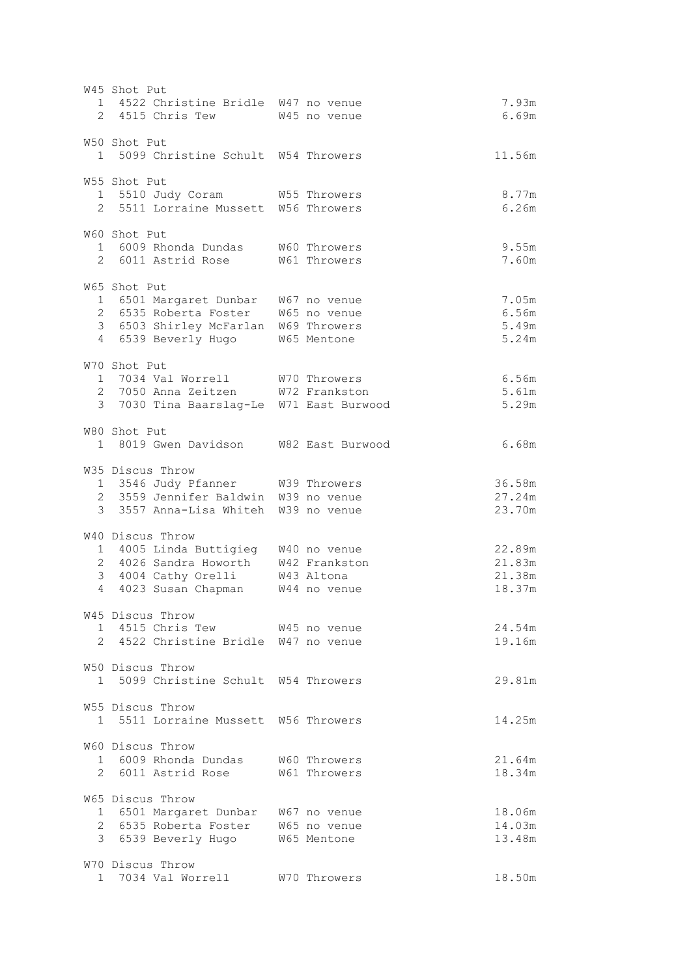W45 Shot Put 1 4522 Christine Bridle W47 no venue 7.93m 2 4515 Chris Tew W45 no venue 6.69m W50 Shot Put 1 5099 Christine Schult W54 Throwers 11.56m W55 Shot Put 1 5510 Judy Coram W55 Throwers 8.77m 2 5511 Lorraine Mussett W56 Throwers 6.26m W60 Shot Put 1 6009 Rhonda Dundas W60 Throwers 9.55m 2 6011 Astrid Rose W61 Throwers 7.60m W65 Shot Put 1 6501 Margaret Dunbar W67 no venue 7.05m 2 6535 Roberta Foster W65 no venue 6.56m 3 6503 Shirley McFarlan W69 Throwers 5.49m 4 6539 Beverly Hugo W65 Mentone 5.24m W70 Shot Put 1 7034 Val Worrell W70 Throwers 6.56m 2 7050 Anna Zeitzen W72 Frankston 5.61m 3 7030 Tina Baarslag-Le W71 East Burwood 5.29m W80 Shot Put 1 8019 Gwen Davidson W82 East Burwood 6.68m W35 Discus Throw 1 3546 Judy Pfanner W39 Throwers 36.58m 2 3559 Jennifer Baldwin W39 no venue 27.24m 3 3557 Anna-Lisa Whiteh W39 no venue 23.70m W40 Discus Throw 1 4005 Linda Buttigieg W40 no venue 22.89m 2 4026 Sandra Howorth W42 Frankston 21.83m 3 4004 Cathy Orelli W43 Altona 21.38m 4 4023 Susan Chapman W44 no venue 18.37m W45 Discus Throw 15 DISCUS INIOW<br>1 4515 Chris Tew W45 no venue 24.54m 2 4522 Christine Bridle W47 no venue 19.16m W50 Discus Throw 1 5099 Christine Schult W54 Throwers 29.81m W55 Discus Throw 1 5511 Lorraine Mussett W56 Throwers 14.25m W60 Discus Throw 1 6009 Rhonda Dundas W60 Throwers 21.64m 2 6011 Astrid Rose W61 Throwers 18.34m W65 Discus Throw 1 6501 Margaret Dunbar W67 no venue 18.06m 2 6535 Roberta Foster W65 no venue 14.03m 3 6539 Beverly Hugo W65 Mentone 13.48m W70 Discus Throw 1 7034 Val Worrell W70 Throwers 18.50m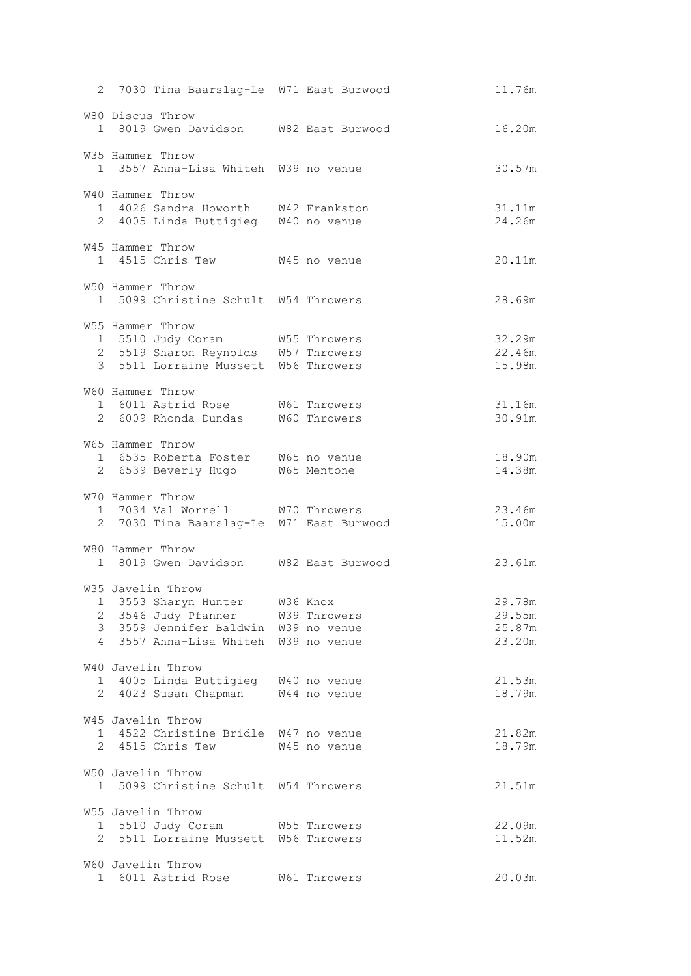| 2 7030 Tina Baarslag-Le W71 East Burwood                                                                                                                  |              | 11.76m                               |
|-----------------------------------------------------------------------------------------------------------------------------------------------------------|--------------|--------------------------------------|
| W80 Discus Throw<br>1 8019 Gwen Davidson W82 East Burwood                                                                                                 |              | 16.20m                               |
| W35 Hammer Throw<br>1 3557 Anna-Lisa Whiteh W39 no venue                                                                                                  |              | 30.57m                               |
| W40 Hammer Throw<br>1 4026 Sandra Howorth W42 Frankston<br>2 4005 Linda Buttigieg W40 no venue                                                            |              | 31.11m<br>24.26m                     |
| W45 Hammer Throw<br>1 4515 Chris Tew W45 no venue                                                                                                         |              | 20.11m                               |
| W50 Hammer Throw<br>1 5099 Christine Schult W54 Throwers                                                                                                  |              | 28.69m                               |
| W55 Hammer Throw<br>1 5510 Judy Coram W55 Throwers<br>2 5519 Sharon Reynolds W57 Throwers<br>3 5511 Lorraine Mussett W56 Throwers                         |              | 32.29m<br>22.46m<br>15.98m           |
| W60 Hammer Throw<br>1 6011 Astrid Rose W61 Throwers<br>2 6009 Rhonda Dundas W60 Throwers                                                                  |              | 31.16m<br>30.91m                     |
| W65 Hammer Throw<br>1 6535 Roberta Foster W65 no venue<br>2 6539 Beverly Hugo W65 Mentone                                                                 |              | 18.90m<br>14.38m                     |
| W70 Hammer Throw<br>1 7034 Val Worrell W70 Throwers<br>2 7030 Tina Baarslag-Le W71 East Burwood                                                           |              | 23.46m<br>15.00m                     |
| W80 Hammer Throw<br>1 8019 Gwen Davidson W82 East Burwood                                                                                                 |              | 23.61m                               |
| W35 Javelin Throw<br>1 3553 Sharyn Hunter M36 Knox<br>2 3546 Judy Pfanner<br>3 3559 Jennifer Baldwin W39 no venue<br>4 3557 Anna-Lisa Whiteh W39 no venue | W39 Throwers | 29.78m<br>29.55m<br>25.87m<br>23.20m |
| W40 Javelin Throw<br>1 4005 Linda Buttigieg W40 no venue<br>2 4023 Susan Chapman                                                                          | W44 no venue | 21.53m<br>18.79m                     |
| W45 Javelin Throw<br>1 4522 Christine Bridle W47 no venue<br>2 4515 Chris Tew                                                                             | W45 no venue | 21.82m<br>18.79m                     |
| W50 Javelin Throw<br>1 5099 Christine Schult W54 Throwers                                                                                                 |              | 21.51m                               |
| W55 Javelin Throw<br>1 5510 Judy Coram W55 Throwers<br>2 5511 Lorraine Mussett W56 Throwers                                                               |              | 22.09m<br>11.52m                     |
| W60 Javelin Throw<br>1 6011 Astrid Rose                                                                                                                   | W61 Throwers | 20.03m                               |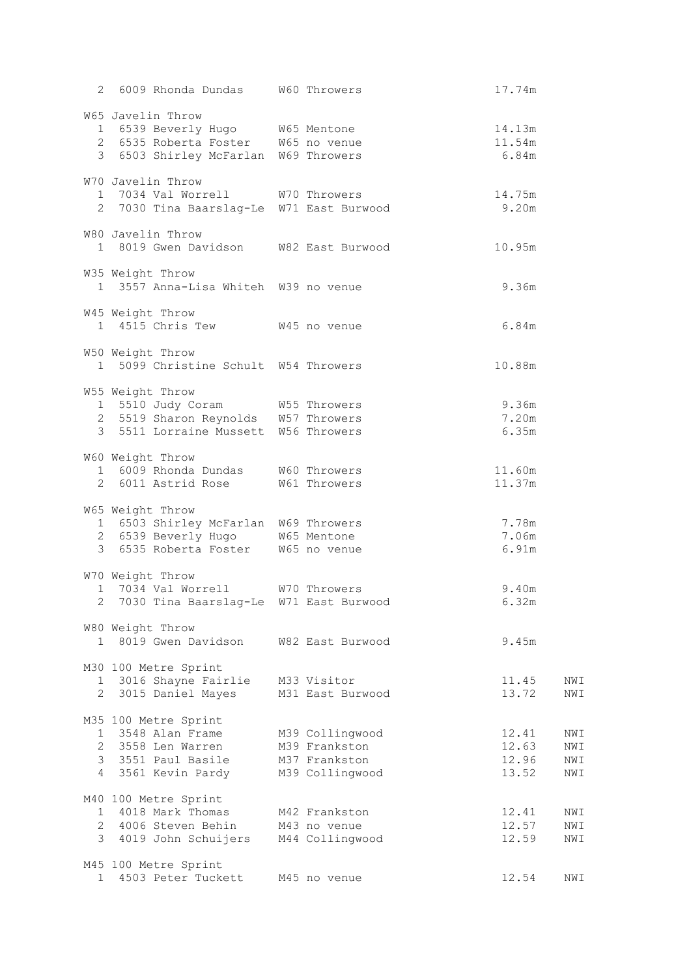|              | 2 6009 Rhonda Dundas W60 Throwers        |                 | 17.74m |     |
|--------------|------------------------------------------|-----------------|--------|-----|
|              | W65 Javelin Throw                        |                 |        |     |
|              | 1 6539 Beverly Hugo W65 Mentone          |                 | 14.13m |     |
|              | 2 6535 Roberta Foster W65 no venue       |                 | 11.54m |     |
|              | 3 6503 Shirley McFarlan W69 Throwers     |                 | 6.84m  |     |
|              | W70 Javelin Throw                        |                 |        |     |
|              | 1 7034 Val Worrell W70 Throwers          |                 | 14.75m |     |
|              | 2 7030 Tina Baarslag-Le W71 East Burwood |                 | 9.20m  |     |
|              | W80 Javelin Throw                        |                 |        |     |
|              | 1 8019 Gwen Davidson W82 East Burwood    |                 | 10.95m |     |
|              |                                          |                 |        |     |
|              | W35 Weight Throw                         |                 |        |     |
|              | 1 3557 Anna-Lisa Whiteh W39 no venue     |                 | 9.36m  |     |
|              | W45 Weight Throw                         |                 |        |     |
|              | 1 4515 Chris Tew W45 no venue            |                 | 6.84m  |     |
|              |                                          |                 |        |     |
|              | W50 Weight Throw                         |                 |        |     |
|              | 1 5099 Christine Schult W54 Throwers     |                 | 10.88m |     |
|              | W55 Weight Throw                         |                 |        |     |
|              | 1 5510 Judy Coram W55 Throwers           |                 | 9.36m  |     |
|              | 2 5519 Sharon Reynolds W57 Throwers      |                 | 7.20m  |     |
|              | 3 5511 Lorraine Mussett W56 Throwers     |                 | 6.35m  |     |
|              | W60 Weight Throw                         |                 |        |     |
|              | 1 6009 Rhonda Dundas W60 Throwers        |                 | 11.60m |     |
|              | 2 6011 Astrid Rose W61 Throwers          |                 | 11.37m |     |
|              |                                          |                 |        |     |
|              | W65 Weight Throw                         |                 |        |     |
|              | 1 6503 Shirley McFarlan W69 Throwers     |                 | 7.78m  |     |
|              | 2 6539 Beverly Hugo W65 Mentone          |                 | 7.06m  |     |
|              | 3 6535 Roberta Foster W65 no venue       |                 | 6.91m  |     |
|              | W70 Weight Throw                         |                 |        |     |
|              | 1 7034 Val Worrell W70 Throwers          |                 | 9.40m  |     |
|              | 7030 Tina Baarslag-Le W71 East Burwood   |                 | 6.32m  |     |
|              | W80 Weight Throw                         |                 |        |     |
|              | 1 8019 Gwen Davidson W82 East Burwood    |                 | 9.45m  |     |
|              |                                          |                 |        |     |
|              | M30 100 Metre Sprint                     |                 |        |     |
|              | 1 3016 Shayne Fairlie M33 Visitor        |                 | 11.45  | NWI |
|              | 2 3015 Daniel Mayes M31 East Burwood     |                 | 13.72  | NWI |
|              | M35 100 Metre Sprint                     |                 |        |     |
|              | 1 3548 Alan Frame                        | M39 Collingwood | 12.41  | NWI |
|              | 2 3558 Len Warren                        | M39 Frankston   | 12.63  | NWI |
|              | 3 3551 Paul Basile M37 Frankston         |                 | 12.96  | NWI |
|              | 4 3561 Kevin Pardy M39 Collingwood       |                 | 13.52  | NWI |
|              | M40 100 Metre Sprint                     |                 |        |     |
|              | 1 4018 Mark Thomas                       | M42 Frankston   | 12.41  | NWI |
|              | 2 4006 Steven Behin M43 no venue         |                 | 12.57  | NWI |
|              | 3 4019 John Schuijers M44 Collingwood    |                 | 12.59  | NWI |
|              |                                          |                 |        |     |
|              | M45 100 Metre Sprint                     |                 |        |     |
| $\mathbf{1}$ | 4503 Peter Tuckett M45 no venue          |                 | 12.54  | NWI |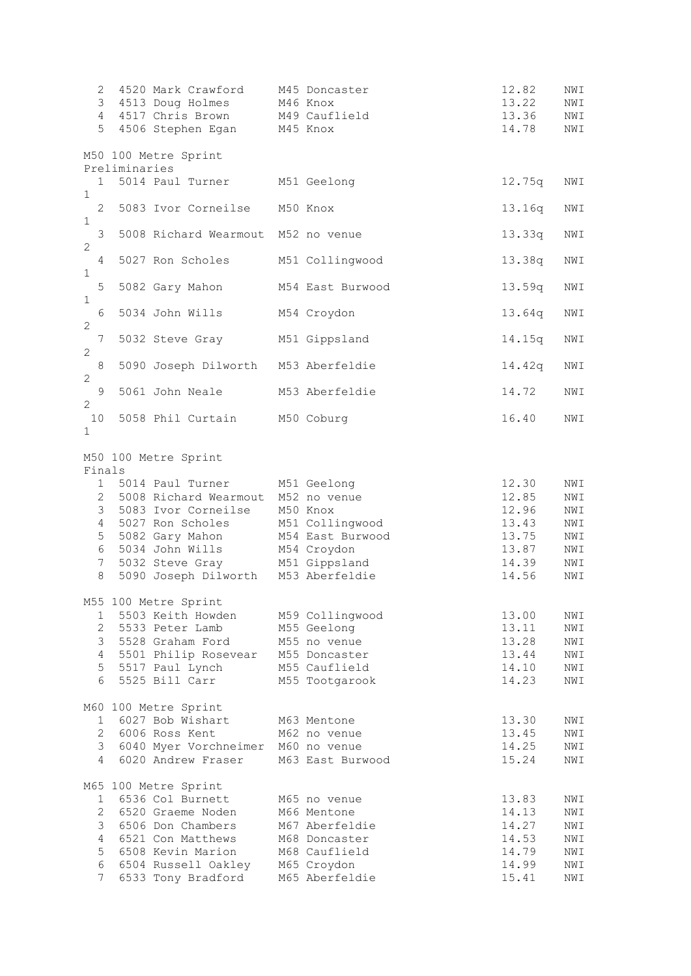| 2<br>3<br>5                                                           | 4                          | 4520 Mark Crawford<br>4513 Doug Holmes<br>4517 Chris Brown<br>4506 Stephen Egan                                                                                                   | M45 Doncaster<br>M46 Knox<br>M49 Cauflield<br>M45 Knox                                                           | 12.82<br>13.22<br>13.36<br>14.78                            | NWI<br>NWI<br>NWI<br>NWI                      |
|-----------------------------------------------------------------------|----------------------------|-----------------------------------------------------------------------------------------------------------------------------------------------------------------------------------|------------------------------------------------------------------------------------------------------------------|-------------------------------------------------------------|-----------------------------------------------|
|                                                                       |                            | M50 100 Metre Sprint                                                                                                                                                              |                                                                                                                  |                                                             |                                               |
|                                                                       | Preliminaries<br>$1 \quad$ | 5014 Paul Turner                                                                                                                                                                  | M51 Geelong                                                                                                      | 12.75q                                                      | NWI                                           |
| $\mathbf{1}$<br>$\mathbf{2}^{\prime}$<br>$\mathbf{1}$                 |                            | 5083 Ivor Corneilse                                                                                                                                                               | M50 Knox                                                                                                         | 13.16q                                                      | NWI                                           |
| 3<br>$\mathbf{2}$                                                     |                            | 5008 Richard Wearmout M52 no venue                                                                                                                                                |                                                                                                                  | 13.33q                                                      | NWI                                           |
| $\overline{4}$<br>$\,1\,$                                             |                            | 5027 Ron Scholes                                                                                                                                                                  | M51 Collingwood                                                                                                  | 13.38q                                                      | NWI                                           |
| 5<br>$\mathbf{1}$                                                     |                            | 5082 Gary Mahon                                                                                                                                                                   | M54 East Burwood                                                                                                 | 13.59q                                                      | NWI                                           |
| 6<br>$\mathbf{2}$                                                     |                            | 5034 John Wills                                                                                                                                                                   | M54 Croydon                                                                                                      | 13.64q                                                      | NWI                                           |
| 7<br>2                                                                |                            | 5032 Steve Gray M51 Gippsland                                                                                                                                                     |                                                                                                                  | 14.15q                                                      | NWI                                           |
| $\,8\,$<br>$\mathbf{2}$                                               |                            | 5090 Joseph Dilworth M53 Aberfeldie                                                                                                                                               |                                                                                                                  | 14.42q                                                      | NWI                                           |
| $\mathsf 9$<br>$\mathbf{2}$                                           |                            | 5061 John Neale                                                                                                                                                                   | M53 Aberfeldie                                                                                                   | 14.72                                                       | NWI                                           |
| 10<br>$\mathbf{1}$                                                    |                            | 5058 Phil Curtain M50 Coburg                                                                                                                                                      |                                                                                                                  | 16.40                                                       | NWI                                           |
| Finals<br>1<br>$\overline{2}$<br>3<br>4<br>5                          |                            | M50 100 Metre Sprint<br>5014 Paul Turner M51 Geelong<br>5008 Richard Wearmout M52 no venue<br>5083 Ivor Corneilse M50 Knox<br>5027 Ron Scholes M51 Collingwood<br>5082 Gary Mahon | M54 East Burwood                                                                                                 | 12.30<br>12.85<br>12.96<br>13.43<br>13.75                   | NWI<br>NWI<br>NWI<br>NWI<br>NWI               |
| 6<br>7<br>8                                                           |                            | 5034 John Wills<br>5032 Steve Gray<br>5090 Joseph Dilworth M53 Aberfeldie                                                                                                         | M54 Croydon<br>M51 Gippsland                                                                                     | 13.87<br>14.39<br>14.56                                     | NWI<br>NWI<br>NWI                             |
| $\mathbf 1$<br>$\overline{2}$<br>3<br>4<br>5 <sup>1</sup><br>6        |                            | M55 100 Metre Sprint<br>5503 Keith Howden<br>5533 Peter Lamb<br>5528 Graham Ford<br>5501 Philip Rosevear<br>5517 Paul Lynch<br>5525 Bill Carr                                     | M59 Collingwood<br>M55 Geelong<br>M55 no venue<br>M55 Doncaster<br>M55 Cauflield<br>M55 Tootgarook               | 13.00<br>13.11<br>13.28<br>13.44<br>14.10<br>14.23          | NWI<br>NWI<br>NWI<br>NWI<br>NWI<br>NWI        |
| $\mathbf{2}$<br>3<br>4                                                |                            | M60 100 Metre Sprint<br>1 6027 Bob Wishart<br>6006 Ross Kent<br>6040 Myer Vorchneimer M60 no venue<br>6020 Andrew Fraser                                                          | M63 Mentone<br>M62 no venue<br>M63 East Burwood                                                                  | 13.30<br>13.45<br>14.25<br>15.24                            | NWI<br>NWI<br>NWI<br>NWI                      |
| 1<br>$\mathbf{2}^{\mathsf{I}}$<br>3<br>4<br>5<br>6<br>$7\overline{ }$ |                            | M65 100 Metre Sprint<br>6536 Col Burnett<br>6520 Graeme Noden<br>6506 Don Chambers<br>6521 Con Matthews<br>6508 Kevin Marion<br>6504 Russell Oakley<br>6533 Tony Bradford         | M65 no venue<br>M66 Mentone<br>M67 Aberfeldie<br>M68 Doncaster<br>M68 Cauflield<br>M65 Croydon<br>M65 Aberfeldie | 13.83<br>14.13<br>14.27<br>14.53<br>14.79<br>14.99<br>15.41 | NWI<br>NWI<br>NWI<br>NWI<br>NWI<br>NWI<br>NWI |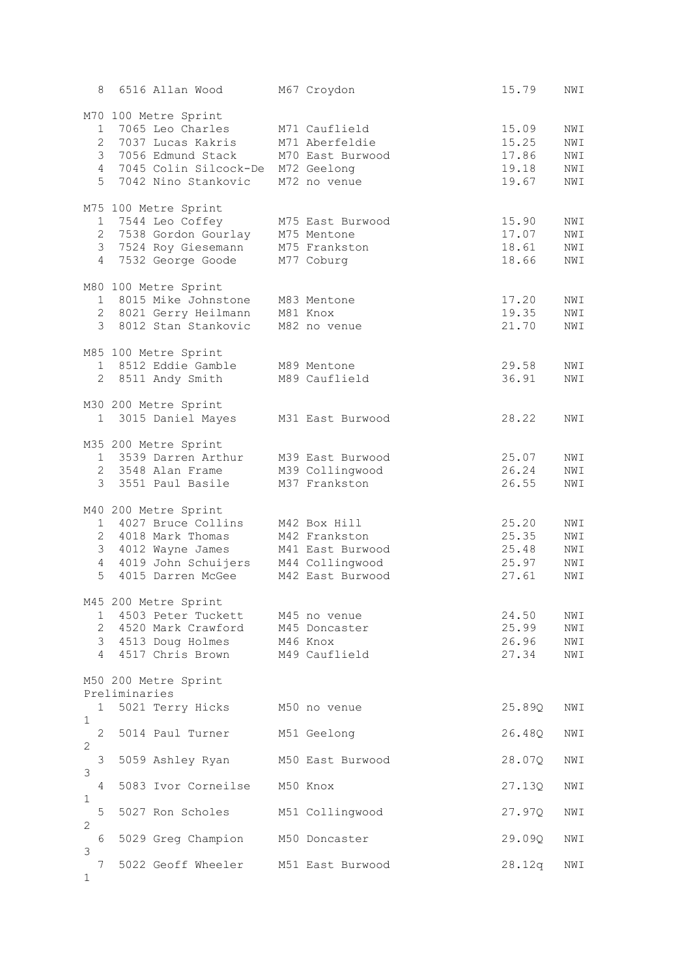| 8                             |               | 6516 Allan Wood                       | M67 Croydon      | 15.79  | NWI |
|-------------------------------|---------------|---------------------------------------|------------------|--------|-----|
|                               |               | M70 100 Metre Sprint                  |                  |        |     |
| $\mathbf{1}$                  |               | 7065 Leo Charles                      | M71 Cauflield    | 15.09  | NWI |
| $\mathbf{2}^{\prime}$         |               | 7037 Lucas Kakris                     | M71 Aberfeldie   | 15.25  | NWI |
|                               |               | 3 7056 Edmund Stack                   | M70 East Burwood | 17.86  | NWI |
| $\overline{4}$                |               | 7045 Colin Silcock-De M72 Geelong     |                  | 19.18  | NWI |
| 5                             |               | 7042 Nino Stankovic                   | M72 no venue     | 19.67  | NWI |
|                               |               |                                       |                  |        |     |
|                               |               | M75 100 Metre Sprint                  |                  |        |     |
|                               |               | 1 7544 Leo Coffey                     | M75 East Burwood | 15.90  | NWI |
|                               |               | 2 7538 Gordon Gourlay                 | M75 Mentone      | 17.07  | NWI |
| $\mathcal{S}$                 |               | 7524 Roy Giesemann                    | M75 Frankston    | 18.61  | NWI |
|                               |               | 4 7532 George Goode                   | M77 Coburg       | 18.66  | NWI |
|                               |               | M80 100 Metre Sprint                  |                  |        |     |
|                               |               | 1 8015 Mike Johnstone                 | M83 Mentone      | 17.20  | NWI |
|                               |               | 2 8021 Gerry Heilmann M81 Knox        |                  | 19.35  | NWI |
|                               |               | 3 8012 Stan Stankovic                 | M82 no venue     | 21.70  | NWI |
|                               |               | M85 100 Metre Sprint                  |                  |        |     |
|                               |               | 1 8512 Eddie Gamble                   | M89 Mentone      | 29.58  | NWI |
|                               |               | 2 8511 Andy Smith                     | M89 Cauflield    | 36.91  | NWI |
|                               |               |                                       |                  |        |     |
|                               |               | M30 200 Metre Sprint                  |                  |        |     |
|                               |               | 1 3015 Daniel Mayes                   | M31 East Burwood | 28.22  | NWI |
|                               |               | M35 200 Metre Sprint                  |                  |        |     |
|                               |               | 1 3539 Darren Arthur                  | M39 East Burwood | 25.07  | NWI |
|                               |               | 2 3548 Alan Frame                     | M39 Collingwood  | 26.24  | NWI |
|                               |               | 3 3551 Paul Basile                    | M37 Frankston    | 26.55  | NWI |
|                               |               |                                       |                  |        |     |
|                               |               | M40 200 Metre Sprint                  |                  |        |     |
|                               |               | 1 4027 Bruce Collins                  | M42 Box Hill     | 25.20  | NWI |
|                               |               | 2 4018 Mark Thomas                    | M42 Frankston    | 25.35  | NWI |
|                               |               | 3 4012 Wayne James                    | M41 East Burwood | 25.48  | NWI |
|                               |               | 4 4019 John Schuijers M44 Collingwood |                  | 25.97  | NWI |
| 5                             |               | 4015 Darren McGee                     | M42 East Burwood | 27.61  | NWI |
|                               |               | M45 200 Metre Sprint                  |                  |        |     |
| 1                             |               | 4503 Peter Tuckett M45 no venue       |                  | 24.50  | NWI |
|                               |               | 2 4520 Mark Crawford M45 Doncaster    |                  | 25.99  |     |
|                               |               |                                       |                  |        | NWI |
|                               |               | 3 4513 Doug Holmes<br>M46 Knox        |                  | 26.96  | NWI |
|                               |               | 4 4517 Chris Brown M49 Cauflield      |                  | 27.34  | NWI |
|                               |               | M50 200 Metre Sprint                  |                  |        |     |
|                               | Preliminaries |                                       |                  |        |     |
| $\mathbf{1}$                  |               | 5021 Terry Hicks M50 no venue         |                  | 25.89Q | NWI |
| $\mathbf 1$<br>$\overline{2}$ |               | 5014 Paul Turner                      | M51 Geelong      | 26.48Q | NWI |
| 2                             |               |                                       |                  |        |     |
| 3                             |               | 5059 Ashley Ryan                      | M50 East Burwood | 28.07Q | NWI |
| 3                             |               |                                       |                  |        |     |
| 4                             |               | 5083 Ivor Corneilse M50 Knox          |                  | 27.13Q | NWI |
| $\mathbf{1}$                  |               |                                       |                  |        |     |
| 5<br>$\overline{2}$           |               | 5027 Ron Scholes M51 Collingwood      |                  | 27.97Q | NWI |
| 6                             |               | 5029 Greg Champion M50 Doncaster      |                  | 29.09Q | NWI |
| 3                             |               |                                       |                  |        |     |
| 7                             |               | 5022 Geoff Wheeler M51 East Burwood   |                  | 28.12q | NWI |
| $\mathbf 1$                   |               |                                       |                  |        |     |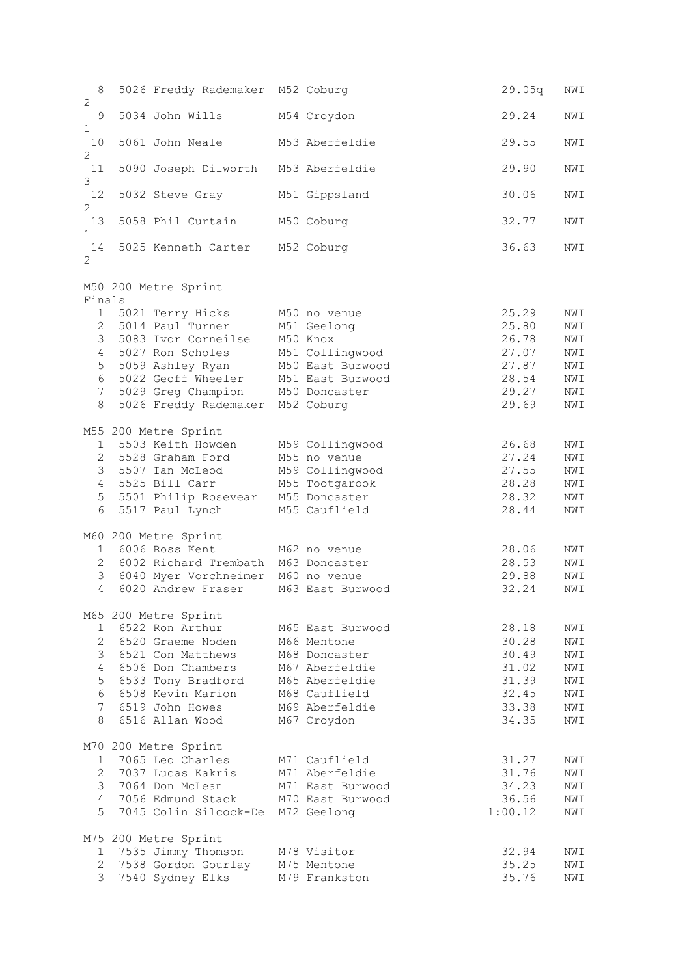8 5026 Freddy Rademaker M52 Coburg 29.05q NWI 2 9 5034 John Wills M54 Croydon 29.24 NWI 1 10 5061 John Neale M53 Aberfeldie 29.55 NWI 2 11 5090 Joseph Dilworth M53 Aberfeldie 29.90 NWI 3 12 5032 Steve Gray M51 Gippsland 30.06 NWI 2 13 5058 Phil Curtain M50 Coburg 13 32.77 NWI 1 14 5025 Kenneth Carter M52 Coburg 36.63 NWI 2 M50 200 Metre Sprint Finals 1 5021 Terry Hicks M50 no venue 25.29 NWI 2 5014 Paul Turner M51 Geelong 25.80 NWI 3 5083 Ivor Corneilse M50 Knox 26.78 NWI 4 5027 Ron Scholes M51 Collingwood 27.07 NWI 5 5059 Ashley Ryan M50 East Burwood 27.87 NWI 6 5022 Geoff Wheeler M51 East Burwood 28.54 NWI 7 5029 Greg Champion M50 Doncaster 29.27 NWI 8 5026 Freddy Rademaker M52 Coburg 29.69 NWI M55 200 Metre Sprint 1 5503 Keith Howden M59 Collingwood 26.68 NWI 2 5528 Graham Ford M55 no venue 27.24 NWI 3 5507 Ian McLeod M59 Collingwood 27.55 NWI 4 5525 Bill Carr M55 Tootgarook 28.28 NWI 5 5501 Philip Rosevear M55 Doncaster 28.32 NWI 6 5517 Paul Lynch M55 Cauflield 28.44 NWI M60 200 Metre Sprint 1 6006 Ross Kent M62 no venue 28.06 NWI 2 6002 Richard Trembath M63 Doncaster 28.53 NWI 3 6040 Myer Vorchneimer M60 no venue 29.88 NWI 4 6020 Andrew Fraser M63 East Burwood 32.24 NWI M65 200 Metre Sprint 1 6522 Ron Arthur M65 East Burwood 28.18 NWI 2 6520 Graeme Noden M66 Mentone 30.28 NWI 3 6521 Con Matthews M68 Doncaster 30.49 NWI 4 6506 Don Chambers M67 Aberfeldie 31.02 NWI 5 6533 Tony Bradford M65 Aberfeldie 31.39 NWI 6 6508 Kevin Marion M68 Cauflield 32.45 NWI 7 6519 John Howes M69 Aberfeldie 33.38 NWI 8 6516 Allan Wood M67 Croydon 34.35 NWI M70 200 Metre Sprint 1 7065 Leo Charles M71 Cauflield 31.27 NWI 2 7037 Lucas Kakris M71 Aberfeldie 31.76 NWI 3 7064 Don McLean M71 East Burwood 34.23 NWI 4 7056 Edmund Stack M70 East Burwood 36.56 NWI 5 7045 Colin Silcock-De M72 Geelong 1:00.12 NWI M75 200 Metre Sprint 1 7535 Jimmy Thomson M78 Visitor 32.94 NWI 2 7538 Gordon Gourlay M75 Mentone 35.25 NWI 3 7540 Sydney Elks M79 Frankston 35.76 NWI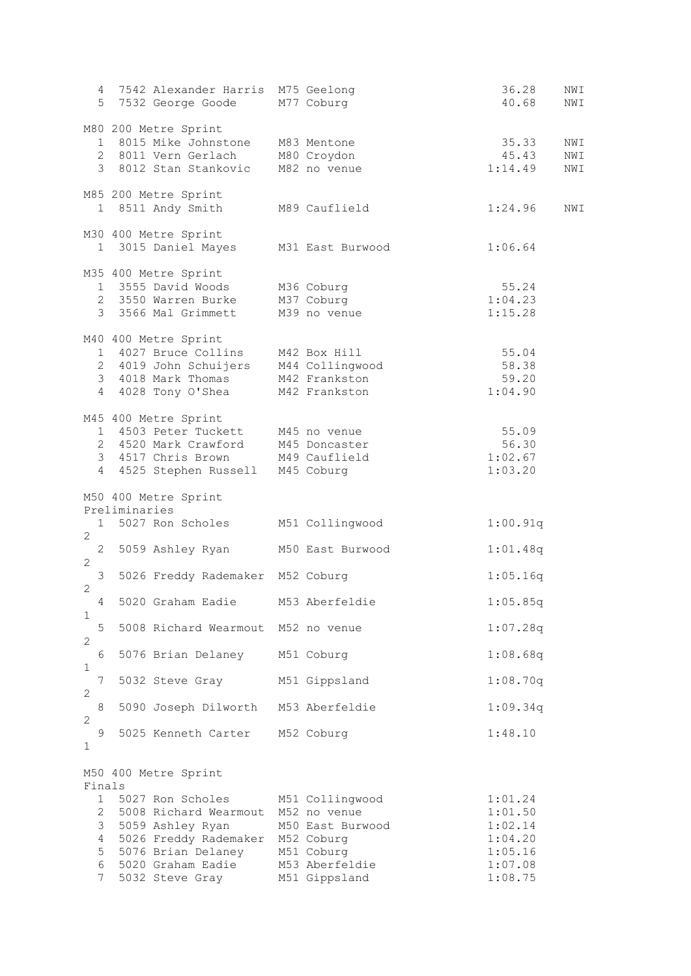|                                                      |                            | 4 7542 Alexander Harris M75 Geelong<br>5 7532 George Goode M77 Coburg                                                                                                  |                                                                                                                    | 36.28<br>40.68                                                            | NWI<br>NWI        |
|------------------------------------------------------|----------------------------|------------------------------------------------------------------------------------------------------------------------------------------------------------------------|--------------------------------------------------------------------------------------------------------------------|---------------------------------------------------------------------------|-------------------|
|                                                      |                            | M80 200 Metre Sprint<br>1 8015 Mike Johnstone M83 Mentone<br>2 8011 Vern Gerlach<br>3 8012 Stan Stankovic                                                              | M80 Croydon<br>M82 no venue                                                                                        | 35.33<br>45.43<br>1:14.49                                                 | NWI<br>NWI<br>NWI |
|                                                      |                            | M85 200 Metre Sprint<br>1 8511 Andy Smith                                                                                                                              | M89 Cauflield                                                                                                      | 1:24.96                                                                   | NWI               |
|                                                      |                            | M30 400 Metre Sprint<br>1 3015 Daniel Mayes M31 East Burwood                                                                                                           |                                                                                                                    | 1:06.64                                                                   |                   |
|                                                      |                            | M35 400 Metre Sprint<br>1 3555 David Woods M36 Coburg<br>2 3550 Warren Burke M37 Coburg<br>3 3566 Mal Grimmett                                                         | M39 no venue                                                                                                       | 55.24<br>1:04.23<br>1:15.28                                               |                   |
|                                                      |                            | M40 400 Metre Sprint<br>1 4027 Bruce Collins M42 Box Hill<br>2 4019 John Schuijers M44 Collingwood<br>3 4018 Mark Thomas M42 Frankston<br>4 4028 Tony O'Shea           | M42 Frankston                                                                                                      | 55.04<br>58.38<br>59.20<br>1:04.90                                        |                   |
| $4 \quad$                                            |                            | M45 400 Metre Sprint<br>1 4503 Peter Tuckett M45 no venue<br>2 4520 Mark Crawford M45 Doncaster<br>3 4517 Chris Brown M49 Cauflield<br>4525 Stephen Russell M45 Coburg |                                                                                                                    | 55.09<br>56.30<br>1:02.67<br>1:03.20                                      |                   |
|                                                      | Preliminaries<br>$1 \quad$ | M50 400 Metre Sprint<br>5027 Ron Scholes                                                                                                                               | M51 Collingwood                                                                                                    | 1:00.91q                                                                  |                   |
| $\overline{2}$                                       |                            | 2 5059 Ashley Ryan                                                                                                                                                     | M50 East Burwood                                                                                                   | 1:01.48q                                                                  |                   |
| $\mathbf{2}$<br>3                                    |                            | 5026 Freddy Rademaker M52 Coburg                                                                                                                                       |                                                                                                                    | 1:05.16q                                                                  |                   |
| $\mathbf{2}$<br>4<br>1                               |                            | 5020 Graham Eadie M53 Aberfeldie                                                                                                                                       |                                                                                                                    | 1:05.85q                                                                  |                   |
| 5<br>2                                               |                            | 5008 Richard Wearmout M52 no venue                                                                                                                                     |                                                                                                                    | 1:07.28q                                                                  |                   |
| 6<br>1                                               |                            | 5076 Brian Delaney                                                                                                                                                     | M51 Coburg                                                                                                         | 1:08.68q                                                                  |                   |
| 7<br>2                                               |                            | 5032 Steve Gray                                                                                                                                                        | M51 Gippsland                                                                                                      | 1:08.70q                                                                  |                   |
| $\,8\,$<br>2<br>9                                    |                            | 5090 Joseph Dilworth M53 Aberfeldie<br>5025 Kenneth Carter                                                                                                             | M52 Coburg                                                                                                         | 1:09.34q<br>1:48.10                                                       |                   |
| 1                                                    |                            |                                                                                                                                                                        |                                                                                                                    |                                                                           |                   |
| Finals                                               |                            | M50 400 Metre Sprint                                                                                                                                                   |                                                                                                                    |                                                                           |                   |
| 1<br>$\mathbf{2}$<br>3<br>4<br>5<br>6<br>$7^{\circ}$ |                            | 5027 Ron Scholes<br>5008 Richard Wearmout<br>5059 Ashley Ryan<br>5026 Freddy Rademaker<br>5076 Brian Delaney<br>5020 Graham Eadie<br>5032 Steve Gray                   | M51 Collingwood<br>M52 no venue<br>M50 East Burwood<br>M52 Coburg<br>M51 Coburg<br>M53 Aberfeldie<br>M51 Gippsland | 1:01.24<br>1:01.50<br>1:02.14<br>1:04.20<br>1:05.16<br>1:07.08<br>1:08.75 |                   |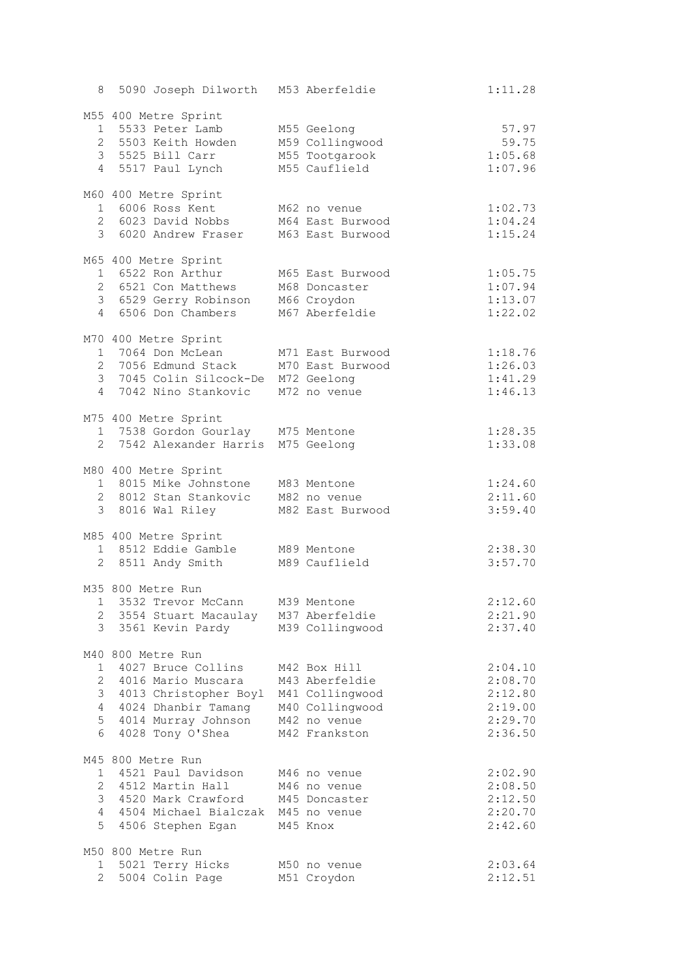|                                 | 8 5090 Joseph Dilworth M53 Aberfeldie                                                                                                                        |                                                                                                       | 1:11.28                                                        |
|---------------------------------|--------------------------------------------------------------------------------------------------------------------------------------------------------------|-------------------------------------------------------------------------------------------------------|----------------------------------------------------------------|
|                                 | M55 400 Metre Sprint<br>1 5533 Peter Lamb<br>2 5503 Keith Howden<br>3 5525 Bill Carr<br>4 5517 Paul Lynch                                                    | M55 Geelong<br>M59 Collingwood<br>M55 Tootgarook<br>M55 Cauflield                                     | 57.97<br>59.75<br>1:05.68<br>1:07.96                           |
|                                 | M60 400 Metre Sprint<br>1 6006 Ross Kent<br>2 6023 David Nobbs<br>3 6020 Andrew Fraser                                                                       | M62 no venue<br>M64 East Burwood<br>M63 East Burwood                                                  | 1:02.73<br>1:04.24<br>1:15.24                                  |
|                                 | M65 400 Metre Sprint<br>1 6522 Ron Arthur<br>2 6521 Con Matthews<br>3 6529 Gerry Robinson<br>4 6506 Don Chambers                                             | M65 East Burwood<br>M68 Doncaster<br>M66 Croydon<br>M67 Aberfeldie                                    | 1:05.75<br>1:07.94<br>1:13.07<br>1:22.02                       |
|                                 | M70 400 Metre Sprint<br>1 7064 Don McLean<br>2 7056 Edmund Stack<br>3 7045 Colin Silcock-De M72 Geelong<br>4 7042 Nino Stankovic                             | M71 East Burwood<br>M70 East Burwood<br>M72 no venue                                                  | 1:18.76<br>1:26.03<br>1:41.29<br>1:46.13                       |
|                                 | M75 400 Metre Sprint<br>1 7538 Gordon Gourlay M75 Mentone<br>2 7542 Alexander Harris M75 Geelong                                                             |                                                                                                       | 1:28.35<br>1:33.08                                             |
|                                 | M80 400 Metre Sprint<br>1 8015 Mike Johnstone<br>2 8012 Stan Stankovic<br>3 8016 Wal Riley                                                                   | M83 Mentone<br>M82 no venue<br>M82 East Burwood                                                       | 1:24.60<br>2:11.60<br>3:59.40                                  |
|                                 | M85 400 Metre Sprint<br>1 8512 Eddie Gamble<br>2 8511 Andy Smith                                                                                             | M89 Mentone<br>M89 Cauflield                                                                          | 2:38.30<br>3:57.70                                             |
|                                 | M35 800 Metre Run<br>1 3532 Trevor McCann M39 Mentone<br>2 3554 Stuart Macaulay<br>3 3561 Kevin Pardy                                                        | M37 Aberfeldie<br>M39 Collingwood                                                                     | 2:12.60<br>2:21.90<br>2:37.40                                  |
| $\mathbf{1}$<br>$4 -$<br>5<br>6 | M40 800 Metre Run<br>4027 Bruce Collins<br>2 4016 Mario Muscara<br>3 4013 Christopher Boyl<br>4024 Dhanbir Tamang<br>4014 Murray Johnson<br>4028 Tony O'Shea | M42 Box Hill<br>M43 Aberfeldie<br>M41 Collingwood<br>M40 Collingwood<br>M42 no venue<br>M42 Frankston | 2:04.10<br>2:08.70<br>2:12.80<br>2:19.00<br>2:29.70<br>2:36.50 |
| 1<br>5                          | M45 800 Metre Run<br>4521 Paul Davidson<br>2 4512 Martin Hall<br>3 4520 Mark Crawford<br>4 4504 Michael Bialczak<br>4506 Stephen Egan                        | M46 no venue<br>M46 no venue<br>M45 Doncaster<br>M45 no venue<br>M45 Knox                             | 2:02.90<br>2:08.50<br>2:12.50<br>2:20.70<br>2:42.60            |
| 1<br>$\overline{2}$             | M50 800 Metre Run<br>5021 Terry Hicks<br>5004 Colin Page                                                                                                     | M50 no venue<br>M51 Croydon                                                                           | 2:03.64<br>2:12.51                                             |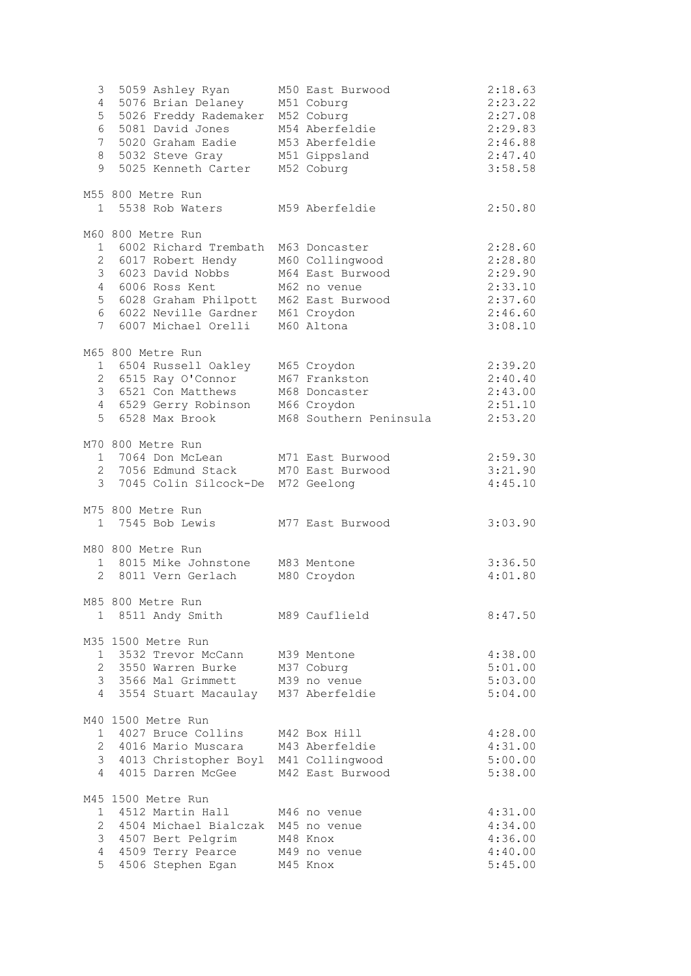| 3<br>$4\overline{ }$<br>5<br>6<br>$7\phantom{.}$<br>9 | 5059 Ashley Ryan<br>5076 Brian Delaney<br>5026 Freddy Rademaker<br>5081 David Jones<br>5020 Graham Eadie<br>8 5032 Steve Gray<br>5025 Kenneth Carter                                       | M50 East Burwood<br>M51 Coburg<br>M52 Coburg<br>M54 Aberfeldie<br>M53 Aberfeldie<br>M51 Gippsland<br>M52 Coburg       | 2:18.63<br>2:23.22<br>2:27.08<br>2:29.83<br>2:46.88<br>2:47.40<br>3:58.58 |
|-------------------------------------------------------|--------------------------------------------------------------------------------------------------------------------------------------------------------------------------------------------|-----------------------------------------------------------------------------------------------------------------------|---------------------------------------------------------------------------|
|                                                       | M55 800 Metre Run<br>1 5538 Rob Waters                                                                                                                                                     | M59 Aberfeldie                                                                                                        | 2:50.80                                                                   |
|                                                       | M60 800 Metre Run<br>1 6002 Richard Trembath<br>2 6017 Robert Hendy<br>3 6023 David Nobbs<br>4 6006 Ross Kent<br>5 6028 Graham Philpott<br>6 6022 Neville Gardner<br>7 6007 Michael Orelli | M63 Doncaster<br>M60 Collingwood<br>M64 East Burwood<br>M62 no venue<br>M62 East Burwood<br>M61 Croydon<br>M60 Altona | 2:28.60<br>2:28.80<br>2:29.90<br>2:33.10<br>2:37.60<br>2:46.60<br>3:08.10 |
| $5 -$                                                 | M65 800 Metre Run<br>1 6504 Russell Oakley<br>2 6515 Ray O'Connor<br>3 6521 Con Matthews<br>4 6529 Gerry Robinson<br>6528 Max Brook                                                        | M65 Croydon<br>M67 Frankston<br>M68 Doncaster<br>M66 Croydon<br>M68 Southern Peninsula                                | 2:39.20<br>2:40.40<br>2:43.00<br>2:51.10<br>2:53.20                       |
|                                                       | M70 800 Metre Run<br>1 7064 Don McLean<br>2 7056 Edmund Stack<br>3 7045 Colin Silcock-De M72 Geelong                                                                                       | M71 East Burwood<br>M70 East Burwood                                                                                  | 2:59.30<br>3:21.90<br>4:45.10                                             |
|                                                       | M75 800 Metre Run<br>1 7545 Bob Lewis                                                                                                                                                      | M77 East Burwood                                                                                                      | 3:03.90                                                                   |
|                                                       | M80 800 Metre Run<br>1 8015 Mike Johnstone<br>2 8011 Vern Gerlach                                                                                                                          | M83 Mentone<br>M80 Croydon                                                                                            | 3:36.50<br>4:01.80                                                        |
|                                                       | M85 800 Metre Run<br>1 8511 Andy Smith M89 Cauflield                                                                                                                                       |                                                                                                                       | 8:47.50                                                                   |
| $\overline{4}$                                        | M35 1500 Metre Run<br>1 3532 Trevor McCann<br>2 3550 Warren Burke<br>3 3566 Mal Grimmett<br>3554 Stuart Macaulay M37 Aberfeldie                                                            | M39 Mentone<br>M37 Coburg<br>M39 no venue                                                                             | 4:38.00<br>5:01.00<br>5:03.00<br>5:04.00                                  |
| 4                                                     | M40 1500 Metre Run<br>1 4027 Bruce Collins<br>2 4016 Mario Muscara<br>3 4013 Christopher Boyl M41 Collingwood<br>4015 Darren McGee                                                         | M42 Box Hill<br>M43 Aberfeldie<br>M42 East Burwood                                                                    | 4:28.00<br>4:31.00<br>5:00.00<br>5:38.00                                  |
| 1<br>$\overline{2}$<br>3<br>$\overline{4}$<br>5       | M45 1500 Metre Run<br>4512 Martin Hall<br>4504 Michael Bialczak M45 no venue<br>4507 Bert Pelgrim<br>4509 Terry Pearce<br>4506 Stephen Egan                                                | M46 no venue<br>M48 Knox<br>M49 no venue<br>M45 Knox                                                                  | 4:31.00<br>4:34.00<br>4:36.00<br>4:40.00<br>5:45.00                       |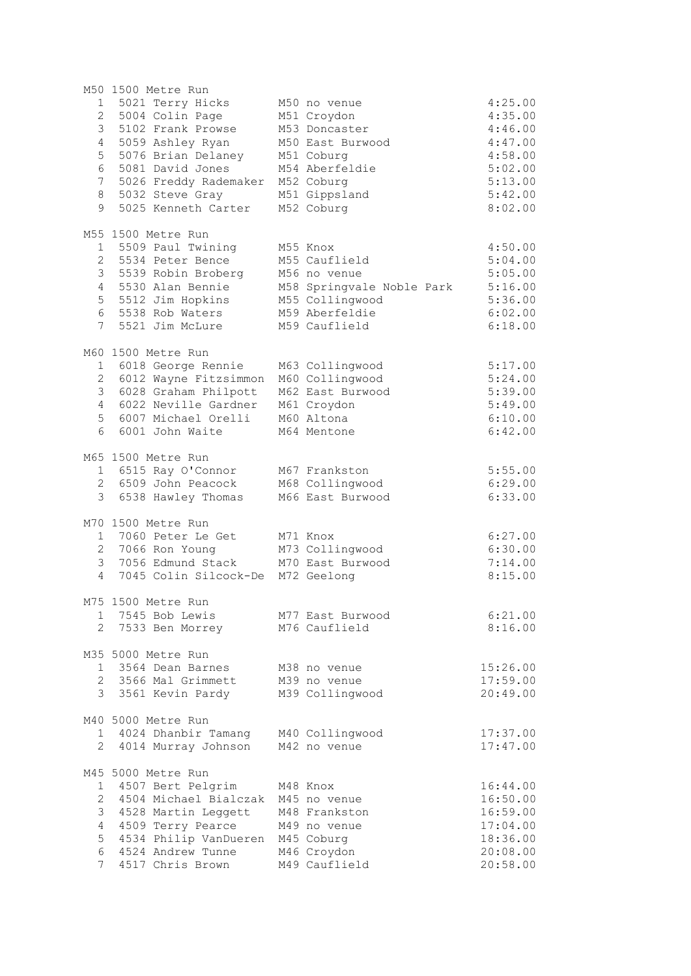|                 | M50 1500 Metre Run      |                           |          |
|-----------------|-------------------------|---------------------------|----------|
| 1               | 5021 Terry Hicks        | M50 no venue              | 4:25.00  |
| $\overline{2}$  | 5004 Colin Page         | M51 Croydon               | 4:35.00  |
| 3               | 5102 Frank Prowse       | M53 Doncaster             | 4:46.00  |
| $\overline{4}$  | 5059 Ashley Ryan        | M50 East Burwood          | 4:47.00  |
| 5               | 5076 Brian Delaney      | M51 Coburg                | 4:58.00  |
| 6               | 5081 David Jones        | M54 Aberfeldie            | 5:02.00  |
| $7\phantom{.}$  | 5026 Freddy Rademaker   | M52 Coburg                | 5:13.00  |
| 8               | 5032 Steve Gray         | M51 Gippsland             | 5:42.00  |
| 9               | 5025 Kenneth Carter     | M52 Coburg                | 8:02.00  |
|                 |                         |                           |          |
|                 | M55 1500 Metre Run      |                           |          |
| $\mathbf{1}$    | 5509 Paul Twining       | M55 Knox                  | 4:50.00  |
|                 | 2 5534 Peter Bence      | M55 Cauflield             | 5:04.00  |
| $\mathcal{S}$   | 5539 Robin Broberg      | M56 no venue              | 5:05.00  |
| $\overline{4}$  | 5530 Alan Bennie        | M58 Springvale Noble Park | 5:16.00  |
| 5               | 5512 Jim Hopkins        | M55 Collingwood           | 5:36.00  |
| $6\overline{6}$ | 5538 Rob Waters         | M59 Aberfeldie            | 6:02.00  |
| $7\overline{ }$ | 5521 Jim McLure         | M59 Cauflield             | 6:18.00  |
|                 |                         |                           |          |
|                 |                         |                           |          |
|                 | M60 1500 Metre Run      |                           |          |
|                 | 1 6018 George Rennie    | M63 Collingwood           | 5:17.00  |
|                 | 2 6012 Wayne Fitzsimmon | M60 Collingwood           | 5:24.00  |
| 3               | 6028 Graham Philpott    | M62 East Burwood          | 5:39.00  |
| $\overline{4}$  | 6022 Neville Gardner    | M61 Croydon               | 5:49.00  |
| 5               | 6007 Michael Orelli     | M60 Altona                | 6:10.00  |
| 6               | 6001 John Waite         | M64 Mentone               | 6:42.00  |
|                 |                         |                           |          |
|                 | M65 1500 Metre Run      |                           |          |
|                 | 1 6515 Ray O'Connor     | M67 Frankston             | 5:55.00  |
|                 | 2 6509 John Peacock     | M68 Collingwood           | 6:29.00  |
|                 | 3 6538 Hawley Thomas    | M66 East Burwood          | 6:33.00  |
|                 |                         |                           |          |
|                 | M70 1500 Metre Run      |                           |          |
|                 | 1 7060 Peter Le Get     | M71 Knox                  | 6:27.00  |
| $\overline{2}$  | 7066 Ron Young          | M73 Collingwood           | 6:30.00  |
| 3               | 7056 Edmund Stack       | M70 East Burwood          | 7:14.00  |
| $\overline{4}$  | 7045 Colin Silcock-De   | M72 Geelong               | 8:15.00  |
|                 |                         |                           |          |
|                 | M75 1500 Metre Run      |                           |          |
| 1               | 7545 Bob Lewis          | M77 East Burwood          | 6:21.00  |
| $\overline{2}$  | 7533 Ben Morrey         | M76 Cauflield             | 8:16.00  |
|                 |                         |                           |          |
|                 | M35 5000 Metre Run      |                           |          |
|                 | 1 3564 Dean Barnes      | M38 no venue              | 15:26.00 |
|                 | 2 3566 Mal Grimmett     | M39 no venue              | 17:59.00 |
| $\mathcal{E}$   | 3561 Kevin Pardy        | M39 Collingwood           | 20:49.00 |
|                 |                         |                           |          |
|                 | M40 5000 Metre Run      |                           |          |
|                 | 1 4024 Dhanbir Tamang   | M40 Collingwood           | 17:37.00 |
|                 | 2 4014 Murray Johnson   | M42 no venue              | 17:47.00 |
|                 |                         |                           |          |
|                 | M45 5000 Metre Run      |                           |          |
| $\mathbf{1}$    | 4507 Bert Pelgrim       | M48 Knox                  | 16:44.00 |
| $\overline{2}$  | 4504 Michael Bialczak   | M45 no venue              | 16:50.00 |
| 3               | 4528 Martin Leggett     | M48 Frankston             | 16:59.00 |
| 4               | 4509 Terry Pearce       | M49 no venue              | 17:04.00 |
| 5               | 4534 Philip VanDueren   | M45 Coburg                | 18:36.00 |
| 6               | 4524 Andrew Tunne       | M46 Croydon               | 20:08.00 |
| 7               | 4517 Chris Brown        | M49 Cauflield             | 20:58.00 |
|                 |                         |                           |          |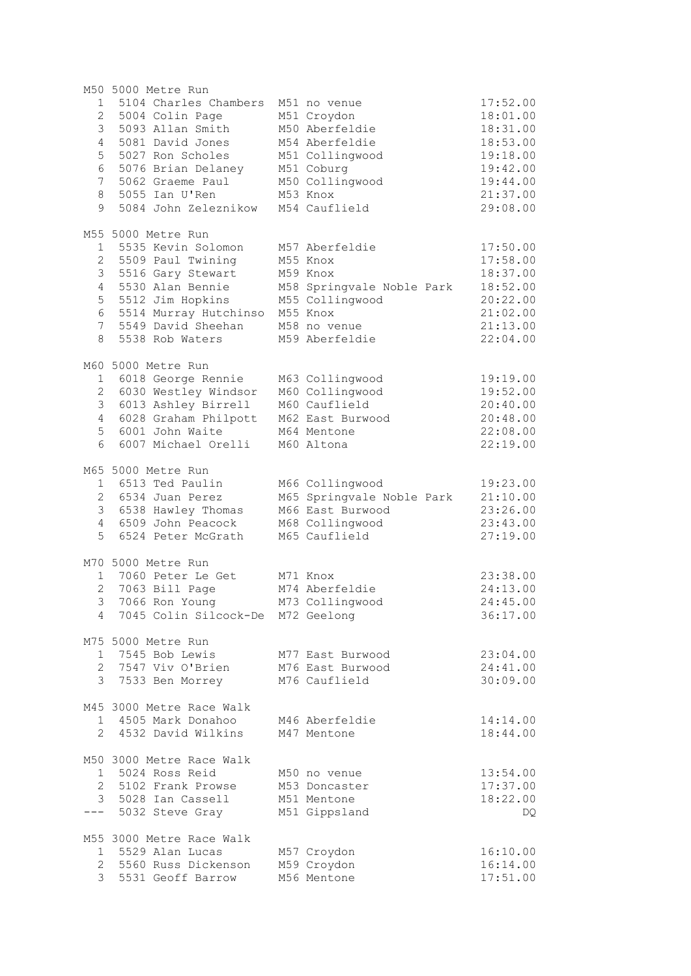| 1 5104 Charles Chambers<br>M51 no venue<br>2 5004 Colin Page<br>M51 Croydon<br>3<br>5093 Allan Smith<br>M50 Aberfeldie<br>5081 David Jones<br>M54 Aberfeldie<br>4<br>5<br>5027 Ron Scholes<br>M51 Collingwood<br>6<br>5076 Brian Delaney<br>M51 Coburg<br>7<br>M50 Collingwood<br>5062 Graeme Paul<br>8<br>5055 Ian U'Ren<br>M53 Knox<br>9<br>5084 John Zeleznikow<br>M54 Cauflield<br>M55 5000 Metre Run<br>1 5535 Kevin Solomon<br>M57 Aberfeldie<br>5509 Paul Twining<br>2<br>M55 Knox<br>3 5516 Gary Stewart<br>M59 Knox<br>5530 Alan Bennie<br>$4\overline{ }$<br>M58 Springvale Noble Park<br>5<br>5512 Jim Hopkins<br>M55 Collingwood<br>6<br>5514 Murray Hutchinso<br>M55 Knox<br>5549 David Sheehan<br>7 <sup>7</sup><br>M58 no venue<br>8<br>5538 Rob Waters<br>M59 Aberfeldie<br>M60 5000 Metre Run<br>1 6018 George Rennie<br>M63 Collingwood<br>2 6030 Westley Windsor<br>M60 Collingwood<br>3 6013 Ashley Birrell<br>M60 Cauflield<br>4 6028 Graham Philpott<br>M62 East Burwood<br>6001 John Waite<br>5<br>M64 Mentone<br>6<br>6007 Michael Orelli<br>M60 Altona<br>M65 5000 Metre Run<br>1 6513 Ted Paulin<br>M66 Collingwood<br>2 6534 Juan Perez<br>M65 Springvale Noble Park<br>3 6538 Hawley Thomas<br>M66 East Burwood<br>4 6509 John Peacock<br>M68 Collingwood<br>5<br>6524 Peter McGrath<br>M65 Cauflield<br>M70 5000 Metre Run<br>1 7060 Peter Le Get<br>M71 Knox<br>2 7063 Bill Page<br>M74 Aberfeldie<br>3 <sup>7</sup><br>7066 Ron Young<br>M73 Collingwood<br>4 7045 Colin Silcock-De M72 Geelong<br>M75 5000 Metre Run<br>7545 Bob Lewis<br>M77 East Burwood<br>$1 \quad$<br>2 7547 Viv O'Brien<br>M76 East Burwood<br>3 7533 Ben Morrey<br>M76 Cauflield<br>M45 3000 Metre Race Walk<br>1 4505 Mark Donahoo<br>M46 Aberfeldie | 17:52.00<br>18:01.00<br>18:31.00<br>18:53.00<br>19:18.00<br>19:42.00<br>19:44.00<br>21:37.00<br>29:08.00<br>17:50.00<br>17:58.00<br>18:37.00<br>18:52.00<br>20:22.00<br>21:02.00<br>21:13.00<br>22:04.00<br>19:19.00<br>19:52.00<br>20:40.00<br>20:48.00<br>22:08.00<br>22:19.00<br>19:23.00 |
|--------------------------------------------------------------------------------------------------------------------------------------------------------------------------------------------------------------------------------------------------------------------------------------------------------------------------------------------------------------------------------------------------------------------------------------------------------------------------------------------------------------------------------------------------------------------------------------------------------------------------------------------------------------------------------------------------------------------------------------------------------------------------------------------------------------------------------------------------------------------------------------------------------------------------------------------------------------------------------------------------------------------------------------------------------------------------------------------------------------------------------------------------------------------------------------------------------------------------------------------------------------------------------------------------------------------------------------------------------------------------------------------------------------------------------------------------------------------------------------------------------------------------------------------------------------------------------------------------------------------------------------------------------------------------------------------------------------------------------------------------------------|----------------------------------------------------------------------------------------------------------------------------------------------------------------------------------------------------------------------------------------------------------------------------------------------|
|                                                                                                                                                                                                                                                                                                                                                                                                                                                                                                                                                                                                                                                                                                                                                                                                                                                                                                                                                                                                                                                                                                                                                                                                                                                                                                                                                                                                                                                                                                                                                                                                                                                                                                                                                              |                                                                                                                                                                                                                                                                                              |
|                                                                                                                                                                                                                                                                                                                                                                                                                                                                                                                                                                                                                                                                                                                                                                                                                                                                                                                                                                                                                                                                                                                                                                                                                                                                                                                                                                                                                                                                                                                                                                                                                                                                                                                                                              |                                                                                                                                                                                                                                                                                              |
|                                                                                                                                                                                                                                                                                                                                                                                                                                                                                                                                                                                                                                                                                                                                                                                                                                                                                                                                                                                                                                                                                                                                                                                                                                                                                                                                                                                                                                                                                                                                                                                                                                                                                                                                                              |                                                                                                                                                                                                                                                                                              |
|                                                                                                                                                                                                                                                                                                                                                                                                                                                                                                                                                                                                                                                                                                                                                                                                                                                                                                                                                                                                                                                                                                                                                                                                                                                                                                                                                                                                                                                                                                                                                                                                                                                                                                                                                              |                                                                                                                                                                                                                                                                                              |
|                                                                                                                                                                                                                                                                                                                                                                                                                                                                                                                                                                                                                                                                                                                                                                                                                                                                                                                                                                                                                                                                                                                                                                                                                                                                                                                                                                                                                                                                                                                                                                                                                                                                                                                                                              |                                                                                                                                                                                                                                                                                              |
|                                                                                                                                                                                                                                                                                                                                                                                                                                                                                                                                                                                                                                                                                                                                                                                                                                                                                                                                                                                                                                                                                                                                                                                                                                                                                                                                                                                                                                                                                                                                                                                                                                                                                                                                                              |                                                                                                                                                                                                                                                                                              |
|                                                                                                                                                                                                                                                                                                                                                                                                                                                                                                                                                                                                                                                                                                                                                                                                                                                                                                                                                                                                                                                                                                                                                                                                                                                                                                                                                                                                                                                                                                                                                                                                                                                                                                                                                              |                                                                                                                                                                                                                                                                                              |
|                                                                                                                                                                                                                                                                                                                                                                                                                                                                                                                                                                                                                                                                                                                                                                                                                                                                                                                                                                                                                                                                                                                                                                                                                                                                                                                                                                                                                                                                                                                                                                                                                                                                                                                                                              |                                                                                                                                                                                                                                                                                              |
|                                                                                                                                                                                                                                                                                                                                                                                                                                                                                                                                                                                                                                                                                                                                                                                                                                                                                                                                                                                                                                                                                                                                                                                                                                                                                                                                                                                                                                                                                                                                                                                                                                                                                                                                                              |                                                                                                                                                                                                                                                                                              |
|                                                                                                                                                                                                                                                                                                                                                                                                                                                                                                                                                                                                                                                                                                                                                                                                                                                                                                                                                                                                                                                                                                                                                                                                                                                                                                                                                                                                                                                                                                                                                                                                                                                                                                                                                              |                                                                                                                                                                                                                                                                                              |
|                                                                                                                                                                                                                                                                                                                                                                                                                                                                                                                                                                                                                                                                                                                                                                                                                                                                                                                                                                                                                                                                                                                                                                                                                                                                                                                                                                                                                                                                                                                                                                                                                                                                                                                                                              |                                                                                                                                                                                                                                                                                              |
|                                                                                                                                                                                                                                                                                                                                                                                                                                                                                                                                                                                                                                                                                                                                                                                                                                                                                                                                                                                                                                                                                                                                                                                                                                                                                                                                                                                                                                                                                                                                                                                                                                                                                                                                                              |                                                                                                                                                                                                                                                                                              |
|                                                                                                                                                                                                                                                                                                                                                                                                                                                                                                                                                                                                                                                                                                                                                                                                                                                                                                                                                                                                                                                                                                                                                                                                                                                                                                                                                                                                                                                                                                                                                                                                                                                                                                                                                              |                                                                                                                                                                                                                                                                                              |
|                                                                                                                                                                                                                                                                                                                                                                                                                                                                                                                                                                                                                                                                                                                                                                                                                                                                                                                                                                                                                                                                                                                                                                                                                                                                                                                                                                                                                                                                                                                                                                                                                                                                                                                                                              |                                                                                                                                                                                                                                                                                              |
|                                                                                                                                                                                                                                                                                                                                                                                                                                                                                                                                                                                                                                                                                                                                                                                                                                                                                                                                                                                                                                                                                                                                                                                                                                                                                                                                                                                                                                                                                                                                                                                                                                                                                                                                                              |                                                                                                                                                                                                                                                                                              |
|                                                                                                                                                                                                                                                                                                                                                                                                                                                                                                                                                                                                                                                                                                                                                                                                                                                                                                                                                                                                                                                                                                                                                                                                                                                                                                                                                                                                                                                                                                                                                                                                                                                                                                                                                              |                                                                                                                                                                                                                                                                                              |
|                                                                                                                                                                                                                                                                                                                                                                                                                                                                                                                                                                                                                                                                                                                                                                                                                                                                                                                                                                                                                                                                                                                                                                                                                                                                                                                                                                                                                                                                                                                                                                                                                                                                                                                                                              |                                                                                                                                                                                                                                                                                              |
|                                                                                                                                                                                                                                                                                                                                                                                                                                                                                                                                                                                                                                                                                                                                                                                                                                                                                                                                                                                                                                                                                                                                                                                                                                                                                                                                                                                                                                                                                                                                                                                                                                                                                                                                                              |                                                                                                                                                                                                                                                                                              |
|                                                                                                                                                                                                                                                                                                                                                                                                                                                                                                                                                                                                                                                                                                                                                                                                                                                                                                                                                                                                                                                                                                                                                                                                                                                                                                                                                                                                                                                                                                                                                                                                                                                                                                                                                              |                                                                                                                                                                                                                                                                                              |
|                                                                                                                                                                                                                                                                                                                                                                                                                                                                                                                                                                                                                                                                                                                                                                                                                                                                                                                                                                                                                                                                                                                                                                                                                                                                                                                                                                                                                                                                                                                                                                                                                                                                                                                                                              |                                                                                                                                                                                                                                                                                              |
|                                                                                                                                                                                                                                                                                                                                                                                                                                                                                                                                                                                                                                                                                                                                                                                                                                                                                                                                                                                                                                                                                                                                                                                                                                                                                                                                                                                                                                                                                                                                                                                                                                                                                                                                                              |                                                                                                                                                                                                                                                                                              |
|                                                                                                                                                                                                                                                                                                                                                                                                                                                                                                                                                                                                                                                                                                                                                                                                                                                                                                                                                                                                                                                                                                                                                                                                                                                                                                                                                                                                                                                                                                                                                                                                                                                                                                                                                              |                                                                                                                                                                                                                                                                                              |
|                                                                                                                                                                                                                                                                                                                                                                                                                                                                                                                                                                                                                                                                                                                                                                                                                                                                                                                                                                                                                                                                                                                                                                                                                                                                                                                                                                                                                                                                                                                                                                                                                                                                                                                                                              |                                                                                                                                                                                                                                                                                              |
|                                                                                                                                                                                                                                                                                                                                                                                                                                                                                                                                                                                                                                                                                                                                                                                                                                                                                                                                                                                                                                                                                                                                                                                                                                                                                                                                                                                                                                                                                                                                                                                                                                                                                                                                                              |                                                                                                                                                                                                                                                                                              |
|                                                                                                                                                                                                                                                                                                                                                                                                                                                                                                                                                                                                                                                                                                                                                                                                                                                                                                                                                                                                                                                                                                                                                                                                                                                                                                                                                                                                                                                                                                                                                                                                                                                                                                                                                              |                                                                                                                                                                                                                                                                                              |
|                                                                                                                                                                                                                                                                                                                                                                                                                                                                                                                                                                                                                                                                                                                                                                                                                                                                                                                                                                                                                                                                                                                                                                                                                                                                                                                                                                                                                                                                                                                                                                                                                                                                                                                                                              |                                                                                                                                                                                                                                                                                              |
|                                                                                                                                                                                                                                                                                                                                                                                                                                                                                                                                                                                                                                                                                                                                                                                                                                                                                                                                                                                                                                                                                                                                                                                                                                                                                                                                                                                                                                                                                                                                                                                                                                                                                                                                                              |                                                                                                                                                                                                                                                                                              |
|                                                                                                                                                                                                                                                                                                                                                                                                                                                                                                                                                                                                                                                                                                                                                                                                                                                                                                                                                                                                                                                                                                                                                                                                                                                                                                                                                                                                                                                                                                                                                                                                                                                                                                                                                              |                                                                                                                                                                                                                                                                                              |
|                                                                                                                                                                                                                                                                                                                                                                                                                                                                                                                                                                                                                                                                                                                                                                                                                                                                                                                                                                                                                                                                                                                                                                                                                                                                                                                                                                                                                                                                                                                                                                                                                                                                                                                                                              | 21:10.00                                                                                                                                                                                                                                                                                     |
|                                                                                                                                                                                                                                                                                                                                                                                                                                                                                                                                                                                                                                                                                                                                                                                                                                                                                                                                                                                                                                                                                                                                                                                                                                                                                                                                                                                                                                                                                                                                                                                                                                                                                                                                                              | 23:26.00                                                                                                                                                                                                                                                                                     |
|                                                                                                                                                                                                                                                                                                                                                                                                                                                                                                                                                                                                                                                                                                                                                                                                                                                                                                                                                                                                                                                                                                                                                                                                                                                                                                                                                                                                                                                                                                                                                                                                                                                                                                                                                              | 23:43.00                                                                                                                                                                                                                                                                                     |
|                                                                                                                                                                                                                                                                                                                                                                                                                                                                                                                                                                                                                                                                                                                                                                                                                                                                                                                                                                                                                                                                                                                                                                                                                                                                                                                                                                                                                                                                                                                                                                                                                                                                                                                                                              | 27:19.00                                                                                                                                                                                                                                                                                     |
|                                                                                                                                                                                                                                                                                                                                                                                                                                                                                                                                                                                                                                                                                                                                                                                                                                                                                                                                                                                                                                                                                                                                                                                                                                                                                                                                                                                                                                                                                                                                                                                                                                                                                                                                                              |                                                                                                                                                                                                                                                                                              |
|                                                                                                                                                                                                                                                                                                                                                                                                                                                                                                                                                                                                                                                                                                                                                                                                                                                                                                                                                                                                                                                                                                                                                                                                                                                                                                                                                                                                                                                                                                                                                                                                                                                                                                                                                              |                                                                                                                                                                                                                                                                                              |
|                                                                                                                                                                                                                                                                                                                                                                                                                                                                                                                                                                                                                                                                                                                                                                                                                                                                                                                                                                                                                                                                                                                                                                                                                                                                                                                                                                                                                                                                                                                                                                                                                                                                                                                                                              | 23:38.00                                                                                                                                                                                                                                                                                     |
|                                                                                                                                                                                                                                                                                                                                                                                                                                                                                                                                                                                                                                                                                                                                                                                                                                                                                                                                                                                                                                                                                                                                                                                                                                                                                                                                                                                                                                                                                                                                                                                                                                                                                                                                                              | 24:13.00                                                                                                                                                                                                                                                                                     |
|                                                                                                                                                                                                                                                                                                                                                                                                                                                                                                                                                                                                                                                                                                                                                                                                                                                                                                                                                                                                                                                                                                                                                                                                                                                                                                                                                                                                                                                                                                                                                                                                                                                                                                                                                              | 24:45.00                                                                                                                                                                                                                                                                                     |
|                                                                                                                                                                                                                                                                                                                                                                                                                                                                                                                                                                                                                                                                                                                                                                                                                                                                                                                                                                                                                                                                                                                                                                                                                                                                                                                                                                                                                                                                                                                                                                                                                                                                                                                                                              | 36:17.00                                                                                                                                                                                                                                                                                     |
|                                                                                                                                                                                                                                                                                                                                                                                                                                                                                                                                                                                                                                                                                                                                                                                                                                                                                                                                                                                                                                                                                                                                                                                                                                                                                                                                                                                                                                                                                                                                                                                                                                                                                                                                                              |                                                                                                                                                                                                                                                                                              |
|                                                                                                                                                                                                                                                                                                                                                                                                                                                                                                                                                                                                                                                                                                                                                                                                                                                                                                                                                                                                                                                                                                                                                                                                                                                                                                                                                                                                                                                                                                                                                                                                                                                                                                                                                              | 23:04.00                                                                                                                                                                                                                                                                                     |
|                                                                                                                                                                                                                                                                                                                                                                                                                                                                                                                                                                                                                                                                                                                                                                                                                                                                                                                                                                                                                                                                                                                                                                                                                                                                                                                                                                                                                                                                                                                                                                                                                                                                                                                                                              | 24:41.00                                                                                                                                                                                                                                                                                     |
|                                                                                                                                                                                                                                                                                                                                                                                                                                                                                                                                                                                                                                                                                                                                                                                                                                                                                                                                                                                                                                                                                                                                                                                                                                                                                                                                                                                                                                                                                                                                                                                                                                                                                                                                                              | 30:09.00                                                                                                                                                                                                                                                                                     |
|                                                                                                                                                                                                                                                                                                                                                                                                                                                                                                                                                                                                                                                                                                                                                                                                                                                                                                                                                                                                                                                                                                                                                                                                                                                                                                                                                                                                                                                                                                                                                                                                                                                                                                                                                              |                                                                                                                                                                                                                                                                                              |
|                                                                                                                                                                                                                                                                                                                                                                                                                                                                                                                                                                                                                                                                                                                                                                                                                                                                                                                                                                                                                                                                                                                                                                                                                                                                                                                                                                                                                                                                                                                                                                                                                                                                                                                                                              | 14:14.00                                                                                                                                                                                                                                                                                     |
| 2 4532 David Wilkins<br>M47 Mentone                                                                                                                                                                                                                                                                                                                                                                                                                                                                                                                                                                                                                                                                                                                                                                                                                                                                                                                                                                                                                                                                                                                                                                                                                                                                                                                                                                                                                                                                                                                                                                                                                                                                                                                          | 18:44.00                                                                                                                                                                                                                                                                                     |
|                                                                                                                                                                                                                                                                                                                                                                                                                                                                                                                                                                                                                                                                                                                                                                                                                                                                                                                                                                                                                                                                                                                                                                                                                                                                                                                                                                                                                                                                                                                                                                                                                                                                                                                                                              |                                                                                                                                                                                                                                                                                              |
| M50 3000 Metre Race Walk                                                                                                                                                                                                                                                                                                                                                                                                                                                                                                                                                                                                                                                                                                                                                                                                                                                                                                                                                                                                                                                                                                                                                                                                                                                                                                                                                                                                                                                                                                                                                                                                                                                                                                                                     |                                                                                                                                                                                                                                                                                              |
| 5024 Ross Reid<br>1<br>M50 no venue                                                                                                                                                                                                                                                                                                                                                                                                                                                                                                                                                                                                                                                                                                                                                                                                                                                                                                                                                                                                                                                                                                                                                                                                                                                                                                                                                                                                                                                                                                                                                                                                                                                                                                                          | 13:54.00                                                                                                                                                                                                                                                                                     |
| 2 5102 Frank Prowse<br>M53 Doncaster                                                                                                                                                                                                                                                                                                                                                                                                                                                                                                                                                                                                                                                                                                                                                                                                                                                                                                                                                                                                                                                                                                                                                                                                                                                                                                                                                                                                                                                                                                                                                                                                                                                                                                                         | 17:37.00                                                                                                                                                                                                                                                                                     |
| 3 5028 Ian Cassell<br>M51 Mentone                                                                                                                                                                                                                                                                                                                                                                                                                                                                                                                                                                                                                                                                                                                                                                                                                                                                                                                                                                                                                                                                                                                                                                                                                                                                                                                                                                                                                                                                                                                                                                                                                                                                                                                            |                                                                                                                                                                                                                                                                                              |
| $---$<br>5032 Steve Gray<br>M51 Gippsland                                                                                                                                                                                                                                                                                                                                                                                                                                                                                                                                                                                                                                                                                                                                                                                                                                                                                                                                                                                                                                                                                                                                                                                                                                                                                                                                                                                                                                                                                                                                                                                                                                                                                                                    | 18:22.00                                                                                                                                                                                                                                                                                     |
| M55 3000 Metre Race Walk                                                                                                                                                                                                                                                                                                                                                                                                                                                                                                                                                                                                                                                                                                                                                                                                                                                                                                                                                                                                                                                                                                                                                                                                                                                                                                                                                                                                                                                                                                                                                                                                                                                                                                                                     | DQ                                                                                                                                                                                                                                                                                           |
| 1 5529 Alan Lucas<br>M57 Croydon                                                                                                                                                                                                                                                                                                                                                                                                                                                                                                                                                                                                                                                                                                                                                                                                                                                                                                                                                                                                                                                                                                                                                                                                                                                                                                                                                                                                                                                                                                                                                                                                                                                                                                                             |                                                                                                                                                                                                                                                                                              |
| 2 5560 Russ Dickenson<br>M59 Croydon                                                                                                                                                                                                                                                                                                                                                                                                                                                                                                                                                                                                                                                                                                                                                                                                                                                                                                                                                                                                                                                                                                                                                                                                                                                                                                                                                                                                                                                                                                                                                                                                                                                                                                                         |                                                                                                                                                                                                                                                                                              |
|                                                                                                                                                                                                                                                                                                                                                                                                                                                                                                                                                                                                                                                                                                                                                                                                                                                                                                                                                                                                                                                                                                                                                                                                                                                                                                                                                                                                                                                                                                                                                                                                                                                                                                                                                              | 16:10.00<br>16:14.00                                                                                                                                                                                                                                                                         |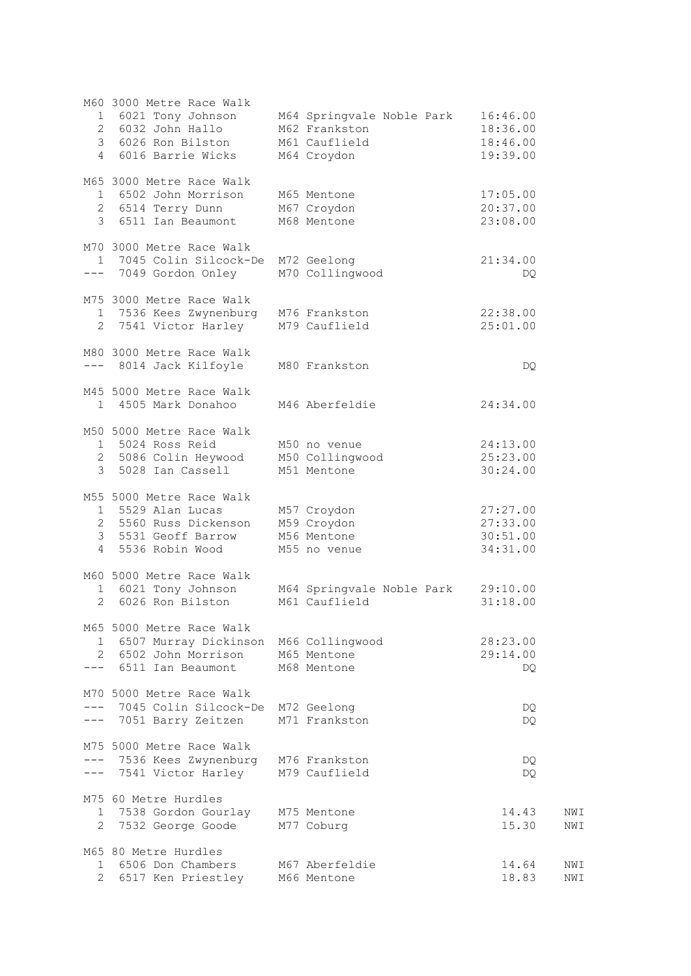|                     | M60 3000 Metre Race Walk<br>2 6032 John Hallo<br>3 6026 Ron Bilston<br>4 6016 Barrie Wicks                       | 1 6021 Tony Johnson M64 Springvale Noble Park<br>M62 Frankston<br>M61 Cauflield<br>M64 Croydon | 16:46.00<br>18:36.00<br>18:46.00<br>19:39.00 |            |
|---------------------|------------------------------------------------------------------------------------------------------------------|------------------------------------------------------------------------------------------------|----------------------------------------------|------------|
|                     | M65 3000 Metre Race Walk<br>1 6502 John Morrison<br>2 6514 Terry Dunn<br>3 6511 Ian Beaumont                     | M65 Mentone<br>M67 Croydon<br>M68 Mentone                                                      | 17:05.00<br>20:37.00<br>23:08.00             |            |
|                     | M70 3000 Metre Race Walk<br>1 7045 Colin Silcock-De M72 Geelong<br>--- 7049 Gordon Onley                         | M70 Collingwood                                                                                | 21:34.00<br>DQ.                              |            |
|                     | M75 3000 Metre Race Walk<br>1 7536 Kees Zwynenburg<br>2 7541 Victor Harley M79 Cauflield                         | M76 Frankston                                                                                  | 22:38.00<br>25:01.00                         |            |
|                     | M80 3000 Metre Race Walk<br>--- 8014 Jack Kilfoyle M80 Frankston                                                 |                                                                                                | DQ.                                          |            |
|                     | M45 5000 Metre Race Walk<br>1 4505 Mark Donahoo                                                                  | M46 Aberfeldie                                                                                 | 24:34.00                                     |            |
|                     | M50 5000 Metre Race Walk<br>1 5024 Ross Reid<br>2 5086 Colin Heywood<br>3 5028 Ian Cassell                       | M50 no venue<br>M50 Collingwood<br>M51 Mentone                                                 | 24:13.00<br>25:23.00<br>30:24.00             |            |
| 4                   | M55 5000 Metre Race Walk<br>1 5529 Alan Lucas<br>2 5560 Russ Dickenson<br>3 5531 Geoff Barrow<br>5536 Robin Wood | M57 Croydon<br>M59 Croydon<br>M56 Mentone<br>M55 no venue                                      | 27:27.00<br>27:33.00<br>30:51.00<br>34:31.00 |            |
| 2                   | M60 5000 Metre Race Walk<br>1 6021 Tony Johnson<br>6026 Ron Bilston                                              | M64 Springvale Noble Park<br>M61 Cauflield                                                     | 29:10.00<br>31:18.00                         |            |
| 1<br>2<br>$---$     | M65 5000 Metre Race Walk<br>6507 Murray Dickinson<br>6502 John Morrison<br>6511 Ian Beaumont                     | M66 Collingwood<br>M65 Mentone<br>M68 Mentone                                                  | 28:23.00<br>29:14.00<br>DO                   |            |
|                     | M70 5000 Metre Race Walk<br>7045 Colin Silcock-De<br>7051 Barry Zeitzen                                          | M72 Geelong<br>M71 Frankston                                                                   | DQ.<br>DQ.                                   |            |
|                     | M75 5000 Metre Race Walk<br>--- 7536 Kees Zwynenburg<br>7541 Victor Harley                                       | M76 Frankston<br>M79 Cauflield                                                                 | DQ.<br>DQ.                                   |            |
| 1<br>2              | M75 60 Metre Hurdles<br>7538 Gordon Gourlay<br>7532 George Goode                                                 | M75 Mentone<br>M77 Coburg                                                                      | 14.43<br>15.30                               | NWI<br>NWI |
| 1<br>$\overline{2}$ | M65 80 Metre Hurdles<br>6506 Don Chambers<br>6517 Ken Priestley                                                  | M67 Aberfeldie<br>M66 Mentone                                                                  | 14.64<br>18.83                               | NWI<br>NWI |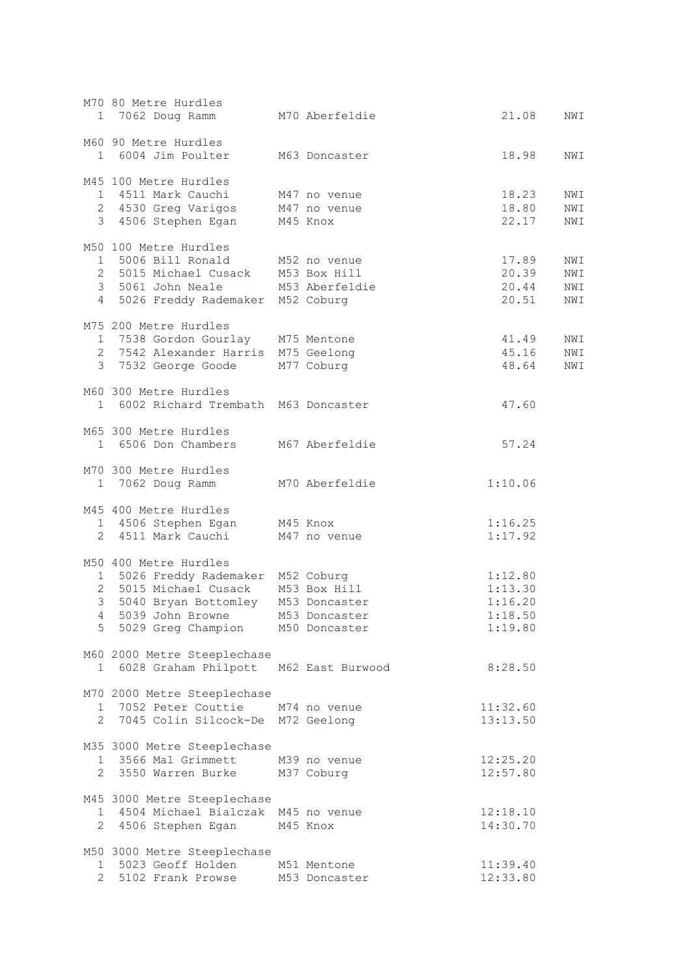|                     | M70 80 Metre Hurdles<br>1 7062 Doug Ramm                                                                                                                 | M70 Aberfeldie                                                  | 21.08                                               | NWI                      |
|---------------------|----------------------------------------------------------------------------------------------------------------------------------------------------------|-----------------------------------------------------------------|-----------------------------------------------------|--------------------------|
|                     | M60 90 Metre Hurdles<br>1 6004 Jim Poulter                                                                                                               | M63 Doncaster                                                   | 18.98                                               | NWI                      |
|                     | M45 100 Metre Hurdles<br>1 4511 Mark Cauchi<br>2 4530 Greg Varigos<br>3 4506 Stephen Egan                                                                | M47 no venue<br>M47 no venue<br>M45 Knox                        | 18.23<br>18.80<br>22.17                             | NWI<br>NWI<br>NWI        |
|                     | M50 100 Metre Hurdles<br>1 5006 Bill Ronald<br>2 5015 Michael Cusack M53 Box Hill<br>3 5061 John Neale<br>4 5026 Freddy Rademaker M52 Coburg             | M52 no venue<br>M53 Aberfeldie                                  | 17.89<br>20.39<br>20.44<br>20.51                    | NWI<br>NWI<br>NWI<br>NWI |
|                     | M75 200 Metre Hurdles<br>1 7538 Gordon Gourlay M75 Mentone<br>2 7542 Alexander Harris M75 Geelong<br>3 7532 George Goode                                 | M77 Coburg                                                      | 41.49<br>45.16<br>48.64                             | NWI<br>NWI<br>NWI        |
|                     | M60 300 Metre Hurdles<br>1 6002 Richard Trembath M63 Doncaster                                                                                           |                                                                 | 47.60                                               |                          |
|                     | M65 300 Metre Hurdles<br>1 6506 Don Chambers                                                                                                             | M67 Aberfeldie                                                  | 57.24                                               |                          |
|                     | M70 300 Metre Hurdles<br>1 7062 Doug Ramm                                                                                                                | M70 Aberfeldie                                                  | 1:10.06                                             |                          |
| $\overline{2}$      | M45 400 Metre Hurdles<br>1 4506 Stephen Egan<br>4511 Mark Cauchi                                                                                         | M45 Knox<br>M47 no venue                                        | 1:16.25<br>1:17.92                                  |                          |
| 3 <sup>7</sup><br>4 | M50 400 Metre Hurdles<br>1 5026 Freddy Rademaker M52 Coburg<br>2 5015 Michael Cusack<br>5040 Bryan Bottomley<br>5039 John Browne<br>5 5029 Greg Champion | M53 Box Hill<br>M53 Doncaster<br>M53 Doncaster<br>M50 Doncaster | 1:12.80<br>1:13.30<br>1:16.20<br>1:18.50<br>1:19.80 |                          |
|                     | M60 2000 Metre Steeplechase<br>1 6028 Graham Philpott                                                                                                    | M62 East Burwood                                                | 8:28.50                                             |                          |
|                     | M70 2000 Metre Steeplechase<br>1 7052 Peter Couttie M74 no venue<br>2 7045 Colin Silcock-De M72 Geelong                                                  |                                                                 | 11:32.60<br>13:13.50                                |                          |
|                     | M35 3000 Metre Steeplechase<br>1 3566 Mal Grimmett<br>2 3550 Warren Burke                                                                                | M39 no venue<br>M37 Coburg                                      | 12:25.20<br>12:57.80                                |                          |
|                     | M45 3000 Metre Steeplechase<br>1 4504 Michael Bialczak M45 no venue<br>2 4506 Stephen Egan                                                               | M45 Knox                                                        | 12:18.10<br>14:30.70                                |                          |
| 1<br>$\mathcal{L}$  | M50 3000 Metre Steeplechase<br>5023 Geoff Holden<br>5102 Frank Prowse                                                                                    | M51 Mentone<br>M53 Doncaster                                    | 11:39.40<br>12:33.80                                |                          |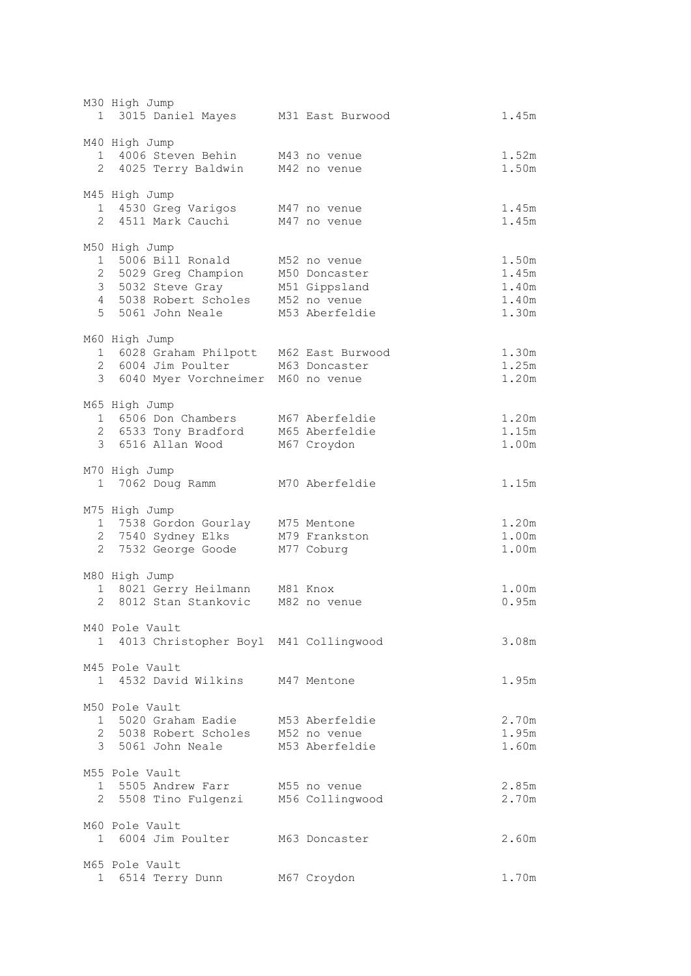|              | M30 High Jump<br>1 3015 Daniel Mayes M31 East Burwood                                                                          |                                                                                  | 1.45m                                     |
|--------------|--------------------------------------------------------------------------------------------------------------------------------|----------------------------------------------------------------------------------|-------------------------------------------|
|              | M40 High Jump<br>1 4006 Steven Behin M43 no venue<br>2 4025 Terry Baldwin                                                      | M42 no venue                                                                     | 1.52m<br>1.50m                            |
|              | M45 High Jump<br>1 4530 Greg Varigos<br>2 4511 Mark Cauchi                                                                     | M47 no venue<br>M47 no venue                                                     | 1.45m<br>1.45m                            |
|              | M50 High Jump<br>1 5006 Bill Ronald<br>2 5029 Greg Champion<br>3 5032 Steve Gray<br>4 5038 Robert Scholes<br>5 5061 John Neale | M52 no venue<br>M50 Doncaster<br>M51 Gippsland<br>M52 no venue<br>M53 Aberfeldie | 1.50m<br>1.45m<br>1.40m<br>1.40m<br>1.30m |
|              | M60 High Jump<br>1 6028 Graham Philpott M62 East Burwood<br>2 6004 Jim Poulter M63 Doncaster<br>3 6040 Myer Vorchneimer        | M60 no venue                                                                     | 1.30m<br>1.25m<br>1.20m                   |
|              | M65 High Jump<br>1 6506 Don Chambers<br>2 6533 Tony Bradford<br>3 6516 Allan Wood                                              | M67 Aberfeldie<br>M65 Aberfeldie<br>M67 Croydon                                  | 1.20m<br>1.15m<br>1.00m                   |
|              | M70 High Jump<br>1 7062 Doug Ramm                                                                                              | M70 Aberfeldie                                                                   | 1.15m                                     |
|              | M75 High Jump<br>1 7538 Gordon Gourlay M75 Mentone<br>2 7540 Sydney Elks<br>2 7532 George Goode                                | M79 Frankston<br>M77 Coburg                                                      | 1.20m<br>1.00m<br>1.00m                   |
|              | M80 High Jump<br>1 8021 Gerry Heilmann<br>2 8012 Stan Stankovic                                                                | M81 Knox<br>M82 no venue                                                         | 1.00m<br>0.95m                            |
| 1.           | M40 Pole Vault<br>4013 Christopher Boyl M41 Collingwood                                                                        |                                                                                  | 3.08m                                     |
|              | M45 Pole Vault<br>1 4532 David Wilkins M47 Mentone                                                                             |                                                                                  | 1.95m                                     |
|              | M50 Pole Vault<br>1 5020 Graham Eadie<br>2 5038 Robert Scholes<br>3 5061 John Neale                                            | M53 Aberfeldie<br>M52 no venue<br>M53 Aberfeldie                                 | 2.70m<br>1.95m<br>1.60m                   |
| 2            | M55 Pole Vault<br>1 5505 Andrew Farr<br>5508 Tino Fulgenzi                                                                     | M55 no venue<br>M56 Collingwood                                                  | 2.85m<br>2.70m                            |
|              | M60 Pole Vault<br>1 6004 Jim Poulter                                                                                           | M63 Doncaster                                                                    | 2.60m                                     |
| $\mathbf{1}$ | M65 Pole Vault<br>6514 Terry Dunn                                                                                              | M67 Croydon                                                                      | 1.70m                                     |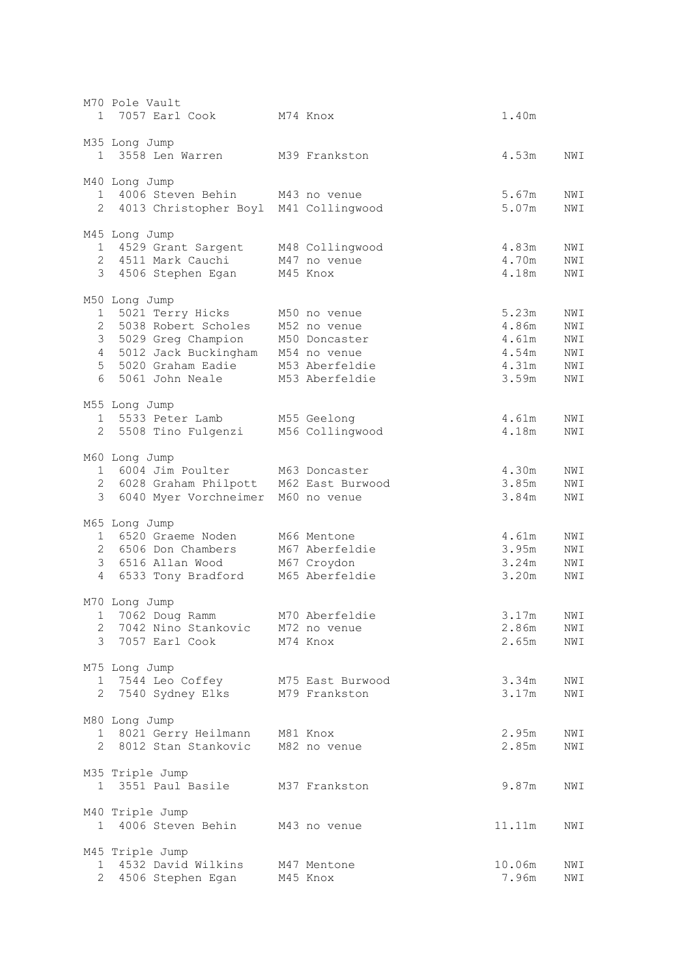|                      | M70 Pole Vault<br>1 7057 Earl Cook                                                                                                                                                                              | M74 Knox                                     | 1.40m                                              |                                        |
|----------------------|-----------------------------------------------------------------------------------------------------------------------------------------------------------------------------------------------------------------|----------------------------------------------|----------------------------------------------------|----------------------------------------|
|                      | M35 Long Jump<br>1 3558 Len Warren                                                                                                                                                                              | M39 Frankston                                | 4.53m                                              | NWI                                    |
|                      | M40 Long Jump<br>1 4006 Steven Behin M43 no venue                                                                                                                                                               |                                              | 5.67m                                              | NWI                                    |
|                      | 2 4013 Christopher Boyl M41 Collingwood                                                                                                                                                                         |                                              | 5.07m                                              | NWI                                    |
|                      | M45 Long Jump<br>1 4529 Grant Sargent M48 Collingwood<br>2 4511 Mark Cauchi<br>3 4506 Stephen Egan M45 Knox                                                                                                     | M47 no venue                                 | 4.83m<br>4.70m<br>4.18m                            | NWI<br>NWI<br>NWI                      |
| $4\overline{ }$<br>6 | M50 Long Jump<br>1 5021 Terry Hicks<br>2 5038 Robert Scholes<br>3 5029 Greg Champion M50 Doncaster<br>5012 Jack Buckingham M54 no venue<br>5 5020 Graham Eadie M53 Aberfeldie<br>5061 John Neale M53 Aberfeldie | M50 no venue<br>M52 no venue                 | 5.23m<br>4.86m<br>4.61m<br>4.54m<br>4.31m<br>3.59m | NWI<br>NWI<br>NWI<br>NWI<br>NWI<br>NWI |
|                      | M55 Long Jump<br>1 5533 Peter Lamb<br>2 5508 Tino Fulgenzi M56 Collingwood                                                                                                                                      | M55 Geelong                                  | 4.61m<br>4.18m                                     | NWI<br>NWI                             |
|                      | M60 Long Jump<br>1 6004 Jim Poulter M63 Doncaster<br>2 6028 Graham Philpott M62 East Burwood<br>3 6040 Myer Vorchneimer M60 no venue                                                                            |                                              | 4.30m<br>3.85m<br>3.84m                            | NWI<br>NWI<br>NWI                      |
| 4                    | M65 Long Jump<br>1 6520 Graeme Noden<br>2 6506 Don Chambers<br>3 6516 Allan Wood<br>6533 Tony Bradford M65 Aberfeldie                                                                                           | M66 Mentone<br>M67 Aberfeldie<br>M67 Croydon | 4.61m<br>3.95m<br>3.24m<br>3.20m                   | NWI<br>NWI<br>NWI<br>NWI               |
| 2                    | M70 Long Jump<br>1 7062 Doug Ramm<br>7042 Nino Stankovic M72 no venue<br>3 7057 Earl Cook<br>M74 Knox                                                                                                           | M70 Aberfeldie                               | 3.17m<br>2.86m<br>2.65m                            | NWI<br>NWI<br>NWI                      |
|                      | M75 Long Jump<br>1 7544 Leo Coffey<br>2 7540 Sydney Elks                                                                                                                                                        | M75 East Burwood<br>M79 Frankston            | 3.34m<br>3.17m                                     | NWI<br>NWI                             |
|                      | M80 Long Jump<br>1 8021 Gerry Heilmann M81 Knox<br>2 8012 Stan Stankovic                                                                                                                                        | M82 no venue                                 | 2.95m<br>2.85m                                     | NWI<br>NWI                             |
|                      | M35 Triple Jump<br>1 3551 Paul Basile                                                                                                                                                                           | M37 Frankston                                | 9.87m                                              | NWI                                    |
|                      | M40 Triple Jump<br>1 4006 Steven Behin                                                                                                                                                                          | M43 no venue                                 | 11.11m                                             | NWI                                    |
| $1 \quad$            | M45 Triple Jump<br>4532 David Wilkins<br>2 4506 Stephen Egan                                                                                                                                                    | M47 Mentone<br>M45 Knox                      | 10.06m<br>7.96m                                    | NWI<br>NWI                             |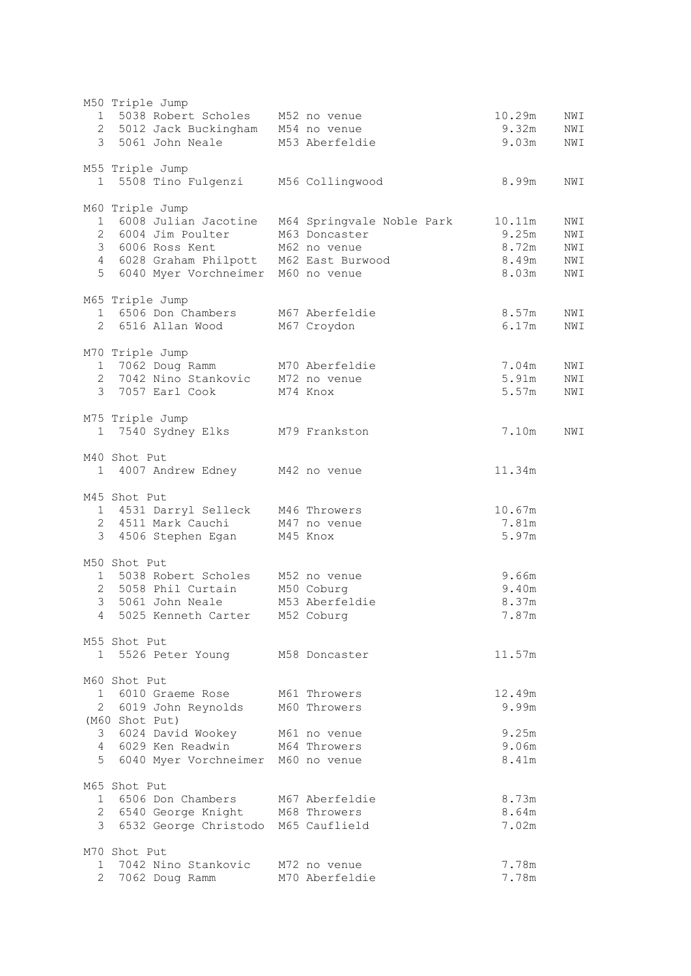|                 | M50 Triple Jump                                   |                |        |     |
|-----------------|---------------------------------------------------|----------------|--------|-----|
|                 | 1 5038 Robert Scholes M52 no venue                |                | 10.29m | NWI |
|                 | 2 5012 Jack Buckingham M54 no venue               |                | 9.32m  | NWI |
|                 | 3 5061 John Neale M53 Aberfeldie                  |                | 9.03m  | NWI |
|                 |                                                   |                |        |     |
|                 | M55 Triple Jump                                   |                |        |     |
|                 | 1 5508 Tino Fulgenzi M56 Collingwood              |                | 8.99m  | NWI |
|                 |                                                   |                |        |     |
|                 | M60 Triple Jump                                   |                |        |     |
|                 | 1 6008 Julian Jacotine  M64 Springvale Noble Park |                | 10.11m | NWI |
|                 | 2 6004 Jim Poulter                                | M63 Doncaster  | 9.25m  | NWI |
|                 | 3 6006 Ross Kent                                  | M62 no venue   | 8.72m  |     |
|                 |                                                   |                |        | NWI |
|                 | 4 6028 Graham Philpott M62 East Burwood           |                | 8.49m  | NWI |
|                 | 5 6040 Myer Vorchneimer M60 no venue              |                | 8.03m  | NWI |
|                 |                                                   |                |        |     |
|                 | M65 Triple Jump                                   |                |        |     |
|                 | 1 6506 Don Chambers                               | M67 Aberfeldie | 8.57m  | NWI |
|                 | 2 6516 Allan Wood                                 | M67 Croydon    | 6.17m  | NWI |
|                 |                                                   |                |        |     |
|                 | M70 Triple Jump                                   |                |        |     |
|                 | 1 7062 Doug Ramm                                  | M70 Aberfeldie | 7.04m  | NWI |
|                 | 2 7042 Nino Stankovic M72 no venue                |                | 5.91m  | NWI |
|                 | 3 7057 Earl Cook M74 Knox                         |                | 5.57m  | NWI |
|                 |                                                   |                |        |     |
|                 | M75 Triple Jump                                   |                |        |     |
|                 | 1 7540 Sydney Elks M79 Frankston                  |                | 7.10m  | NWI |
|                 |                                                   |                |        |     |
|                 | M40 Shot Put                                      |                |        |     |
|                 | 1 4007 Andrew Edney M42 no venue                  |                | 11.34m |     |
|                 |                                                   |                |        |     |
|                 | M45 Shot Put                                      |                |        |     |
|                 | 1 4531 Darryl Selleck M46 Throwers                |                | 10.67m |     |
|                 | 2 4511 Mark Cauchi M47 no venue                   |                | 7.81m  |     |
|                 | 3 4506 Stephen Egan                               | M45 Knox       | 5.97m  |     |
|                 |                                                   |                |        |     |
|                 | M50 Shot Put                                      |                |        |     |
|                 |                                                   |                |        |     |
|                 | 1 5038 Robert Scholes M52 no venue                |                | 9.66m  |     |
|                 | 2 5058 Phil Curtain                               | M50 Coburg     | 9.40m  |     |
|                 | 3 5061 John Neale                                 | M53 Aberfeldie | 8.37m  |     |
| $4\overline{ }$ | 5025 Kenneth Carter                               | M52 Coburg     | 7.87m  |     |
|                 |                                                   |                |        |     |
|                 | M55 Shot Put                                      |                |        |     |
|                 | 1 5526 Peter Young M58 Doncaster                  |                | 11.57m |     |
|                 |                                                   |                |        |     |
|                 | M60 Shot Put                                      |                |        |     |
|                 | 1 6010 Graeme Rose M61 Throwers                   |                | 12.49m |     |
|                 | 2 6019 John Reynolds M60 Throwers                 |                | 9.99m  |     |
|                 | (M60 Shot Put)                                    |                |        |     |
|                 | 3 6024 David Wookey M61 no venue                  |                | 9.25m  |     |
|                 | 4 6029 Ken Readwin M64 Throwers                   |                | 9.06m  |     |
|                 | 5 6040 Myer Vorchneimer M60 no venue              |                | 8.41m  |     |
|                 |                                                   |                |        |     |
|                 | M65 Shot Put                                      |                |        |     |
|                 | 1 6506 Don Chambers M67 Aberfeldie                |                | 8.73m  |     |
|                 | 2 6540 George Knight M68 Throwers                 |                | 8.64m  |     |
|                 | 3 6532 George Christodo M65 Cauflield             |                | 7.02m  |     |
|                 |                                                   |                |        |     |
|                 | M70 Shot Put                                      |                |        |     |
|                 | 1 7042 Nino Stankovic M72 no venue                |                | 7.78m  |     |
|                 |                                                   |                |        |     |
|                 | 2 7062 Doug Ramm                                  | M70 Aberfeldie | 7.78m  |     |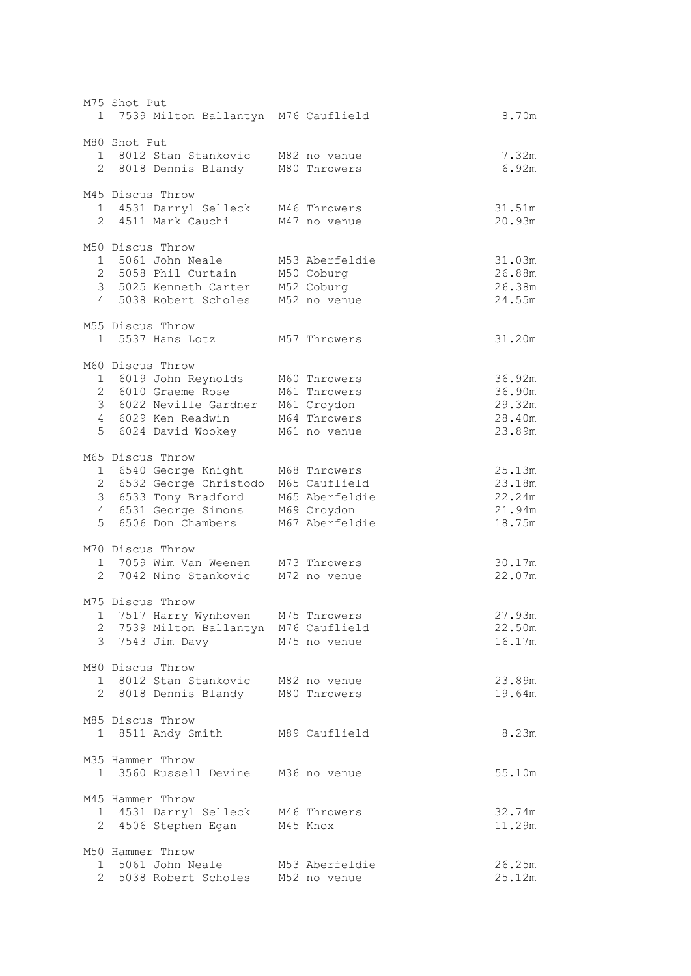| M75 Shot Put<br>1 7539 Milton Ballantyn M76 Cauflield                                                                                             |                                                                                  | 8.70m                                          |
|---------------------------------------------------------------------------------------------------------------------------------------------------|----------------------------------------------------------------------------------|------------------------------------------------|
| M80 Shot Put<br>1 8012 Stan Stankovic<br>2 8018 Dennis Blandy                                                                                     | M82 no venue<br>M80 Throwers                                                     | 7.32m<br>6.92m                                 |
| M45 Discus Throw<br>1 4531 Darryl Selleck<br>2 4511 Mark Cauchi                                                                                   | M46 Throwers<br>M47 no venue                                                     | 31.51m<br>20.93m                               |
| M50 Discus Throw<br>1 5061 John Neale<br>2 5058 Phil Curtain<br>3 5025 Kenneth Carter<br>4 5038 Robert Scholes                                    | M53 Aberfeldie<br>M50 Coburg<br>M52 Coburg<br>M52 no venue                       | 31.03m<br>26.88m<br>26.38m<br>24.55m           |
| M55 Discus Throw<br>1 5537 Hans Lotz                                                                                                              | M57 Throwers                                                                     | 31.20m                                         |
| M60 Discus Throw<br>1 6019 John Reynolds<br>2 6010 Graeme Rose<br>3 6022 Neville Gardner M61 Croydon<br>4 6029 Ken Readwin<br>5 6024 David Wookey | M60 Throwers<br>M61 Throwers<br>M64 Throwers<br>M61 no venue                     | 36.92m<br>36.90m<br>29.32m<br>28.40m<br>23.89m |
| M65 Discus Throw<br>1 6540 George Knight<br>2 6532 George Christodo<br>3 6533 Tony Bradford<br>4 6531 George Simons<br>5 6506 Don Chambers        | M68 Throwers<br>M65 Cauflield<br>M65 Aberfeldie<br>M69 Croydon<br>M67 Aberfeldie | 25.13m<br>23.18m<br>22.24m<br>21.94m<br>18.75m |
| M70 Discus Throw<br>1 7059 Wim Van Weenen M73 Throwers<br>2 7042 Nino Stankovic                                                                   | M72 no venue                                                                     | 30.17m<br>22.07m                               |
| M75 Discus Throw<br>1 7517 Harry Wynhoven M75 Throwers<br>2 7539 Milton Ballantyn M76 Cauflield<br>3 7543 Jim Davy                                | M75 no venue                                                                     | 27.93m<br>22.50m<br>16.17m                     |
| M80 Discus Throw<br>1 8012 Stan Stankovic<br>2 8018 Dennis Blandy                                                                                 | M82 no venue<br>M80 Throwers                                                     | 23.89m<br>19.64m                               |
| M85 Discus Throw<br>1 8511 Andy Smith                                                                                                             | M89 Cauflield                                                                    | 8.23m                                          |
| M35 Hammer Throw<br>1 3560 Russell Devine                                                                                                         | M36 no venue                                                                     | 55.10m                                         |
| M45 Hammer Throw<br>1 4531 Darryl Selleck<br>2 4506 Stephen Egan                                                                                  | M46 Throwers<br>M45 Knox                                                         | 32.74m<br>11.29m                               |
| M50 Hammer Throw<br>1 5061 John Neale<br>2 5038 Robert Scholes                                                                                    | M53 Aberfeldie<br>M52 no venue                                                   | 26.25m<br>25.12m                               |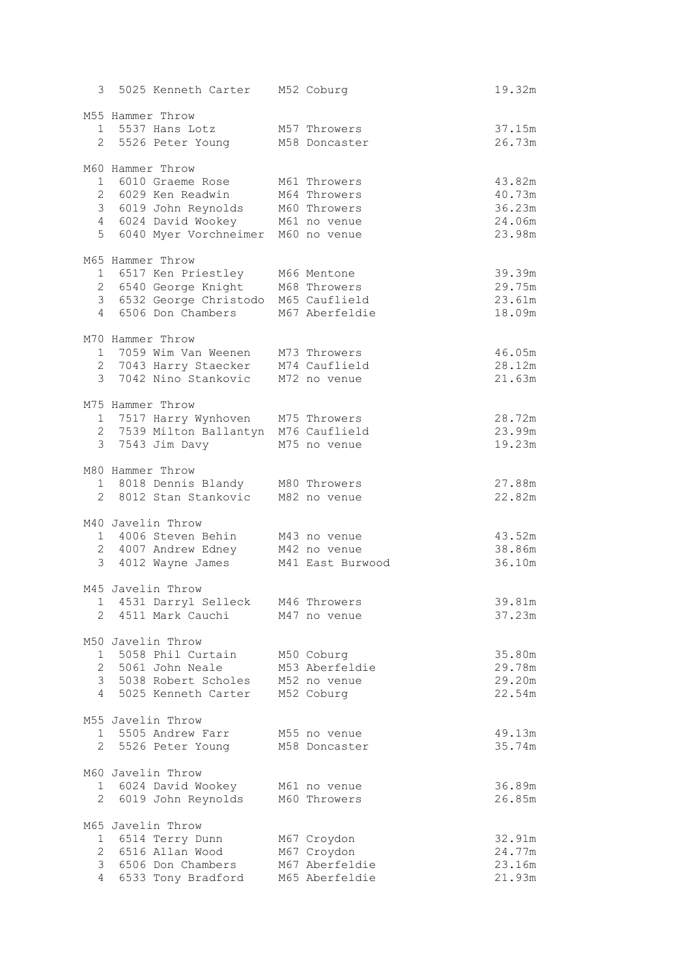| 3 | 5025 Kenneth Carter M52 Coburg                                 |                                  | 19.32m           |
|---|----------------------------------------------------------------|----------------------------------|------------------|
|   | M55 Hammer Throw                                               |                                  |                  |
|   | 1 5537 Hans Lotz                                               | M57 Throwers                     | 37.15m           |
|   | 2 5526 Peter Young                                             | M58 Doncaster                    | 26.73m           |
|   | M60 Hammer Throw                                               |                                  |                  |
|   | 1 6010 Graeme Rose                                             | M61 Throwers                     | 43.82m           |
|   | 2 6029 Ken Readwin                                             | M64 Throwers                     | 40.73m           |
|   | 3 6019 John Reynolds<br>4 6024 David Wookey M61 no venue       | M60 Throwers                     | 36.23m<br>24.06m |
| 5 | 6040 Myer Vorchneimer M60 no venue                             |                                  | 23.98m           |
|   |                                                                |                                  |                  |
|   | M65 Hammer Throw                                               |                                  |                  |
|   | 1 6517 Ken Priestley                                           | M66 Mentone                      | 39.39m           |
|   | 2 6540 George Knight<br>3 6532 George Christodo                | M68 Throwers<br>M65 Cauflield    | 29.75m<br>23.61m |
|   | 4 6506 Don Chambers                                            | M67 Aberfeldie                   | 18.09m           |
|   |                                                                |                                  |                  |
|   | M70 Hammer Throw<br>1 7059 Wim Van Weenen                      | M73 Throwers                     | 46.05m           |
|   | 2 7043 Harry Staecker                                          | M74 Cauflield                    | 28.12m           |
|   | 3 7042 Nino Stankovic                                          | M72 no venue                     | 21.63m           |
|   |                                                                |                                  |                  |
|   | M75 Hammer Throw                                               |                                  |                  |
|   | 1 7517 Harry Wynhoven<br>2 7539 Milton Ballantyn M76 Cauflield | M75 Throwers                     | 28.72m<br>23.99m |
|   | 3 7543 Jim Davy                                                | M75 no venue                     | 19.23m           |
|   |                                                                |                                  |                  |
|   | M80 Hammer Throw                                               |                                  |                  |
|   | 1 8018 Dennis Blandy M80 Throwers<br>2 8012 Stan Stankovic     | M82 no venue                     | 27.88m<br>22.82m |
|   |                                                                |                                  |                  |
|   | M40 Javelin Throw                                              |                                  |                  |
|   | 1 4006 Steven Behin                                            | M43 no venue                     | 43.52m           |
|   | 2 4007 Andrew Edney<br>3 4012 Wayne James                      | M42 no venue<br>M41 East Burwood | 38.86m<br>36.10m |
|   |                                                                |                                  |                  |
|   | M45 Javelin Throw                                              |                                  |                  |
|   | 1 4531 Darryl Selleck M46 Throwers<br>2 4511 Mark Cauchi       | M47 no venue                     | 39.81m<br>37.23m |
|   |                                                                |                                  |                  |
|   | M50 Javelin Throw                                              |                                  |                  |
|   | 1 5058 Phil Curtain                                            | M50 Coburg                       | 35.80m           |
|   | 2 5061 John Neale                                              | M53 Aberfeldie                   | 29.78m           |
|   | 3 5038 Robert Scholes<br>4 5025 Kenneth Carter                 | M52 no venue<br>M52 Coburg       | 29.20m<br>22.54m |
|   |                                                                |                                  |                  |
|   | M55 Javelin Throw                                              |                                  |                  |
|   | 1 5505 Andrew Farr                                             | M55 no venue                     | 49.13m           |
|   | 2 5526 Peter Young                                             | M58 Doncaster                    | 35.74m           |
|   | M60 Javelin Throw                                              |                                  |                  |
|   | 1 6024 David Wookey                                            | M61 no venue                     | 36.89m           |
|   | 2 6019 John Reynolds                                           | M60 Throwers                     | 26.85m           |
|   | M65 Javelin Throw                                              |                                  |                  |
|   | 1 6514 Terry Dunn                                              | M67 Croydon                      | 32.91m           |
|   | 2 6516 Allan Wood<br>3 6506 Don Chambers                       | M67 Croydon<br>M67 Aberfeldie    | 24.77m<br>23.16m |
|   | 4 6533 Tony Bradford                                           | M65 Aberfeldie                   | 21.93m           |
|   |                                                                |                                  |                  |